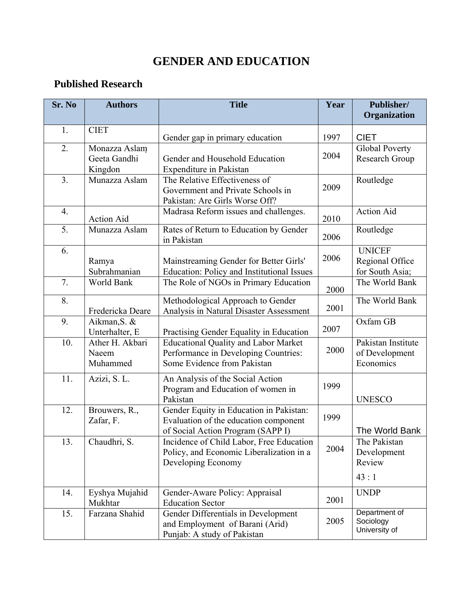## **GENDER AND EDUCATION**

## **Published Research**

| Sr. No | <b>Authors</b>                           | <b>Title</b>                                                                                                          | Year | Publisher/<br>Organization                          |
|--------|------------------------------------------|-----------------------------------------------------------------------------------------------------------------------|------|-----------------------------------------------------|
| 1.     | <b>CIET</b>                              | Gender gap in primary education                                                                                       | 1997 | <b>CIET</b>                                         |
| 2.     | Monazza Aslam<br>Geeta Gandhi<br>Kingdon | Gender and Household Education<br>Expenditure in Pakistan                                                             | 2004 | <b>Global Poverty</b><br>Research Group             |
| 3.     | Munazza Aslam                            | The Relative Effectiveness of<br>Government and Private Schools in<br>Pakistan: Are Girls Worse Off?                  | 2009 | Routledge                                           |
| 4.     | <b>Action Aid</b>                        | Madrasa Reform issues and challenges.                                                                                 | 2010 | <b>Action Aid</b>                                   |
| 5.     | Munazza Aslam                            | Rates of Return to Education by Gender<br>in Pakistan                                                                 | 2006 | Routledge                                           |
| 6.     | Ramya<br>Subrahmanian                    | Mainstreaming Gender for Better Girls'<br>Education: Policy and Institutional Issues                                  | 2006 | <b>UNICEF</b><br>Regional Office<br>for South Asia; |
| 7.     | World Bank                               | The Role of NGOs in Primary Education                                                                                 | 2000 | The World Bank                                      |
| 8.     | Fredericka Deare                         | Methodological Approach to Gender<br>Analysis in Natural Disaster Assessment                                          | 2001 | The World Bank                                      |
| 9.     | Aikman, S. &<br>Unterhalter, E           | Practising Gender Equality in Education                                                                               | 2007 | Oxfam GB                                            |
| 10.    | Ather H. Akbari<br>Naeem<br>Muhammed     | <b>Educational Quality and Labor Market</b><br>Performance in Developing Countries:<br>Some Evidence from Pakistan    | 2000 | Pakistan Institute<br>of Development<br>Economics   |
| 11.    | Azizi, S. L.                             | An Analysis of the Social Action<br>Program and Education of women in<br>Pakistan                                     | 1999 | <b>UNESCO</b>                                       |
| 12.    | Brouwers, R.,<br>Zafar, F.               | Gender Equity in Education in Pakistan:<br>Evaluation of the education component<br>of Social Action Program (SAPP I) | 1999 | The World Bank                                      |
| 13.    | Chaudhri, S.                             | Incidence of Child Labor, Free Education<br>Policy, and Economic Liberalization in a<br>Developing Economy            | 2004 | The Pakistan<br>Development<br>Review<br>43:1       |
| 14.    | Eyshya Mujahid<br>Mukhtar                | Gender-Aware Policy: Appraisal<br><b>Education Sector</b>                                                             | 2001 | <b>UNDP</b>                                         |
| 15.    | Farzana Shahid                           | Gender Differentials in Development<br>and Employment of Barani (Arid)<br>Punjab: A study of Pakistan                 | 2005 | Department of<br>Sociology<br>University of         |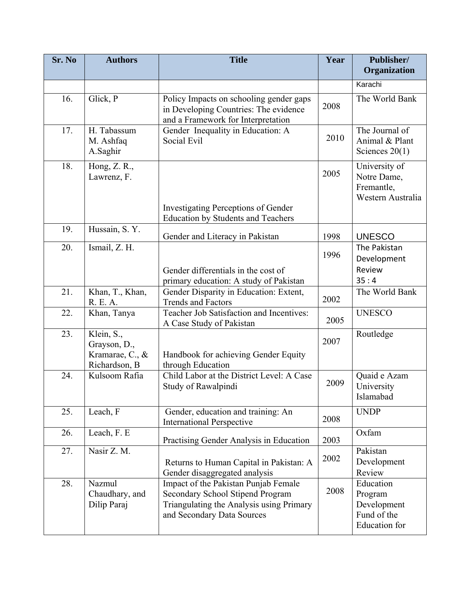| Sr. No | <b>Authors</b>                                                 | <b>Title</b>                                                                                                                                       | Year | Publisher/<br>Organization                                                 |
|--------|----------------------------------------------------------------|----------------------------------------------------------------------------------------------------------------------------------------------------|------|----------------------------------------------------------------------------|
|        |                                                                |                                                                                                                                                    |      | Karachi                                                                    |
| 16.    | Glick, P                                                       | Policy Impacts on schooling gender gaps<br>in Developing Countries: The evidence<br>and a Framework for Interpretation                             | 2008 | The World Bank                                                             |
| 17.    | H. Tabassum<br>M. Ashfaq<br>A.Saghir                           | Gender Inequality in Education: A<br>Social Evil                                                                                                   | 2010 | The Journal of<br>Animal & Plant<br>Sciences $20(1)$                       |
| 18.    | Hong, Z. R.,<br>Lawrenz, F.                                    | <b>Investigating Perceptions of Gender</b><br><b>Education by Students and Teachers</b>                                                            | 2005 | University of<br>Notre Dame,<br>Fremantle,<br>Western Australia            |
| 19.    | Hussain, S.Y.                                                  | Gender and Literacy in Pakistan                                                                                                                    | 1998 | <b>UNESCO</b>                                                              |
| 20.    | Ismail, Z. H.                                                  |                                                                                                                                                    | 1996 | The Pakistan<br>Development<br>Review                                      |
|        |                                                                | Gender differentials in the cost of<br>primary education: A study of Pakistan                                                                      |      | 35:4                                                                       |
| 21.    | Khan, T., Khan,<br>R. E. A.                                    | Gender Disparity in Education: Extent,<br><b>Trends and Factors</b>                                                                                | 2002 | The World Bank                                                             |
| 22.    | Khan, Tanya                                                    | Teacher Job Satisfaction and Incentives:<br>A Case Study of Pakistan                                                                               | 2005 | <b>UNESCO</b>                                                              |
| 23.    | Klein, S.,<br>Grayson, D.,<br>Kramarae, C., &<br>Richardson, B | Handbook for achieving Gender Equity<br>through Education                                                                                          | 2007 | Routledge                                                                  |
| 24.    | Kulsoom Rafia                                                  | Child Labor at the District Level: A Case<br>Study of Rawalpindi                                                                                   | 2009 | Quaid e Azam<br>University<br>Islamabad                                    |
| 25.    | Leach, F                                                       | Gender, education and training: An<br><b>International Perspective</b>                                                                             | 2008 | <b>UNDP</b>                                                                |
| 26.    | Leach, F. E                                                    | Practising Gender Analysis in Education                                                                                                            | 2003 | Oxfam                                                                      |
| 27.    | Nasir Z. M.                                                    | Returns to Human Capital in Pakistan: A<br>Gender disaggregated analysis                                                                           | 2002 | Pakistan<br>Development<br>Review                                          |
| 28.    | Nazmul<br>Chaudhary, and<br>Dilip Paraj                        | Impact of the Pakistan Punjab Female<br>Secondary School Stipend Program<br>Triangulating the Analysis using Primary<br>and Secondary Data Sources | 2008 | Education<br>Program<br>Development<br>Fund of the<br><b>Education</b> for |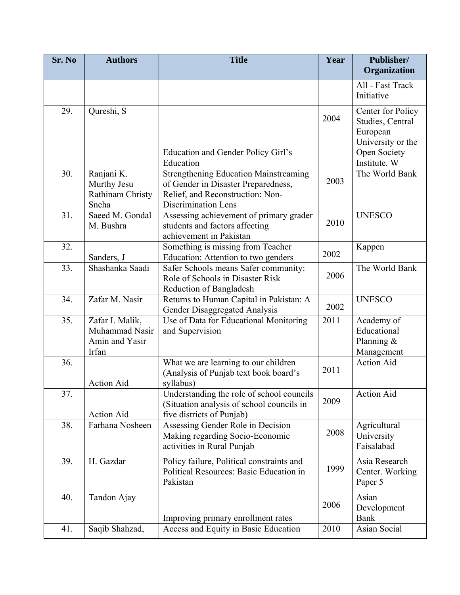| Sr. No | <b>Authors</b>                                               | <b>Title</b>                                                                                                                                   | Year | Publisher/<br>Organization                                                             |
|--------|--------------------------------------------------------------|------------------------------------------------------------------------------------------------------------------------------------------------|------|----------------------------------------------------------------------------------------|
|        |                                                              |                                                                                                                                                |      | All - Fast Track                                                                       |
|        |                                                              |                                                                                                                                                |      | Initiative                                                                             |
| 29.    | Qureshi, S                                                   | Education and Gender Policy Girl's                                                                                                             | 2004 | Center for Policy<br>Studies, Central<br>European<br>University or the<br>Open Society |
|        |                                                              | Education                                                                                                                                      |      | Institute. W                                                                           |
| 30.    | Ranjani K.<br>Murthy Jesu<br>Rathinam Christy<br>Sneha       | <b>Strengthening Education Mainstreaming</b><br>of Gender in Disaster Preparedness,<br>Relief, and Reconstruction: Non-<br>Discrimination Lens | 2003 | The World Bank                                                                         |
| 31.    | Saeed M. Gondal<br>M. Bushra                                 | Assessing achievement of primary grader<br>students and factors affecting<br>achievement in Pakistan                                           | 2010 | <b>UNESCO</b>                                                                          |
| 32.    | Sanders, J                                                   | Something is missing from Teacher<br>Education: Attention to two genders                                                                       | 2002 | Kappen                                                                                 |
| 33.    | Shashanka Saadi                                              | Safer Schools means Safer community:<br>Role of Schools in Disaster Risk<br>Reduction of Bangladesh                                            | 2006 | The World Bank                                                                         |
| 34.    | Zafar M. Nasir                                               | Returns to Human Capital in Pakistan: A<br>Gender Disaggregated Analysis                                                                       | 2002 | <b>UNESCO</b>                                                                          |
| 35.    | Zafar I. Malik,<br>Muhammad Nasir<br>Amin and Yasir<br>Irfan | Use of Data for Educational Monitoring<br>and Supervision                                                                                      | 2011 | Academy of<br>Educational<br>Planning &<br>Management                                  |
| 36.    | <b>Action Aid</b>                                            | What we are learning to our children<br>(Analysis of Punjab text book board's<br>syllabus)                                                     | 2011 | <b>Action Aid</b>                                                                      |
| 37.    | <b>Action Aid</b>                                            | Understanding the role of school councils<br>(Situation analysis of school councils in<br>five districts of Punjab)                            | 2009 | <b>Action Aid</b>                                                                      |
| 38.    | Farhana Nosheen                                              | Assessing Gender Role in Decision<br>Making regarding Socio-Economic<br>activities in Rural Punjab                                             | 2008 | Agricultural<br>University<br>Faisalabad                                               |
| 39.    | H. Gazdar                                                    | Policy failure, Political constraints and<br>Political Resources: Basic Education in<br>Pakistan                                               | 1999 | Asia Research<br>Center. Working<br>Paper 5                                            |
| 40.    | Tandon Ajay                                                  | Improving primary enrollment rates                                                                                                             | 2006 | Asian<br>Development<br>Bank                                                           |
| 41.    | Saqib Shahzad,                                               | Access and Equity in Basic Education                                                                                                           | 2010 | Asian Social                                                                           |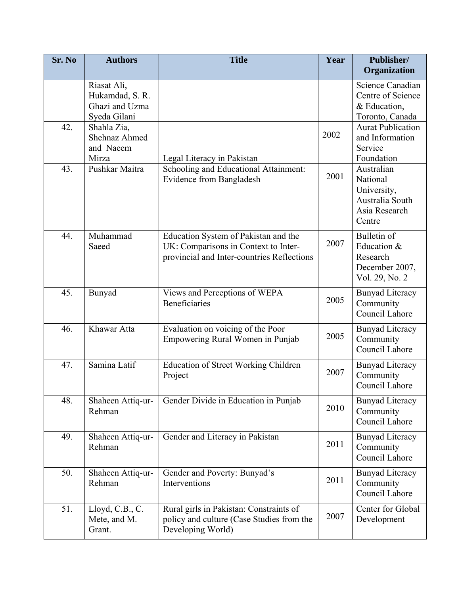| Sr. No | <b>Authors</b>                                                   | <b>Title</b>                                                                                                               | Year | Publisher/<br>Organization                                                          |
|--------|------------------------------------------------------------------|----------------------------------------------------------------------------------------------------------------------------|------|-------------------------------------------------------------------------------------|
|        | Riasat Ali,<br>Hukamdad, S. R.<br>Ghazi and Uzma<br>Syeda Gilani |                                                                                                                            |      | Science Canadian<br>Centre of Science<br>& Education,<br>Toronto, Canada            |
| 42.    | Shahla Zia,<br>Shehnaz Ahmed<br>and Naeem<br>Mirza               | Legal Literacy in Pakistan                                                                                                 | 2002 | <b>Aurat Publication</b><br>and Information<br>Service<br>Foundation                |
| 43.    | Pushkar Maitra                                                   | Schooling and Educational Attainment:<br>Evidence from Bangladesh                                                          | 2001 | Australian<br>National<br>University,<br>Australia South<br>Asia Research<br>Centre |
| 44.    | Muhammad<br>Saeed                                                | Education System of Pakistan and the<br>UK: Comparisons in Context to Inter-<br>provincial and Inter-countries Reflections | 2007 | Bulletin of<br>Education &<br>Research<br>December 2007,<br>Vol. 29, No. 2          |
| 45.    | Bunyad                                                           | Views and Perceptions of WEPA<br>Beneficiaries                                                                             | 2005 | <b>Bunyad Literacy</b><br>Community<br>Council Lahore                               |
| 46.    | Khawar Atta                                                      | Evaluation on voicing of the Poor<br>Empowering Rural Women in Punjab                                                      | 2005 | <b>Bunyad Literacy</b><br>Community<br>Council Lahore                               |
| 47.    | Samina Latif                                                     | <b>Education of Street Working Children</b><br>Project                                                                     | 2007 | <b>Bunyad Literacy</b><br>Community<br>Council Lahore                               |
| 48.    | Shaheen Attiq-ur-<br>Rehman                                      | Gender Divide in Education in Punjab                                                                                       | 2010 | <b>Bunyad Literacy</b><br>Community<br>Council Lahore                               |
| 49.    | Shaheen Attiq-ur-<br>Rehman                                      | Gender and Literacy in Pakistan                                                                                            | 2011 | <b>Bunyad Literacy</b><br>Community<br>Council Lahore                               |
| 50.    | Shaheen Attiq-ur-<br>Rehman                                      | Gender and Poverty: Bunyad's<br>Interventions                                                                              | 2011 | <b>Bunyad Literacy</b><br>Community<br>Council Lahore                               |
| 51.    | Lloyd, C.B., C.<br>Mete, and M.<br>Grant.                        | Rural girls in Pakistan: Constraints of<br>policy and culture (Case Studies from the<br>Developing World)                  | 2007 | Center for Global<br>Development                                                    |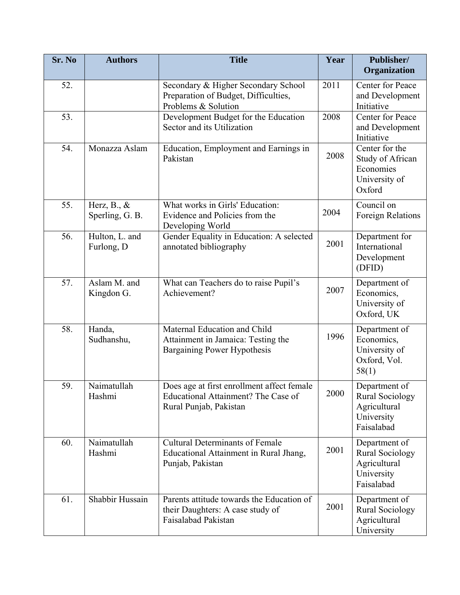| Sr. No | <b>Authors</b>                           | <b>Title</b>                                                                                                | Year | Publisher/<br>Organization                                                          |
|--------|------------------------------------------|-------------------------------------------------------------------------------------------------------------|------|-------------------------------------------------------------------------------------|
| 52.    |                                          | Secondary & Higher Secondary School<br>Preparation of Budget, Difficulties,<br>Problems & Solution          | 2011 | Center for Peace<br>and Development<br>Initiative                                   |
| 53.    |                                          | Development Budget for the Education<br>Sector and its Utilization                                          | 2008 | Center for Peace<br>and Development<br>Initiative                                   |
| 54.    | Monazza Aslam                            | Education, Employment and Earnings in<br>Pakistan                                                           | 2008 | Center for the<br>Study of African<br>Economies<br>University of<br>Oxford          |
| 55.    | Herz, $B_{\cdot}, \&$<br>Sperling, G. B. | What works in Girls' Education:<br>Evidence and Policies from the<br>Developing World                       | 2004 | Council on<br>Foreign Relations                                                     |
| 56.    | Hulton, L. and<br>Furlong, D             | Gender Equality in Education: A selected<br>annotated bibliography                                          | 2001 | Department for<br>International<br>Development<br>(DFID)                            |
| 57.    | Aslam M. and<br>Kingdon G.               | What can Teachers do to raise Pupil's<br>Achievement?                                                       | 2007 | Department of<br>Economics,<br>University of<br>Oxford, UK                          |
| 58.    | Handa,<br>Sudhanshu,                     | Maternal Education and Child<br>Attainment in Jamaica: Testing the<br>Bargaining Power Hypothesis           | 1996 | Department of<br>Economics,<br>University of<br>Oxford, Vol.<br>58(1)               |
| 59.    | Naimatullah<br>Hashmi                    | Does age at first enrollment affect female<br>Educational Attainment? The Case of<br>Rural Punjab, Pakistan | 2000 | Department of<br><b>Rural Sociology</b><br>Agricultural<br>University<br>Faisalabad |
| 60.    | Naimatullah<br>Hashmi                    | <b>Cultural Determinants of Female</b><br>Educational Attainment in Rural Jhang,<br>Punjab, Pakistan        | 2001 | Department of<br><b>Rural Sociology</b><br>Agricultural<br>University<br>Faisalabad |
| 61.    | Shabbir Hussain                          | Parents attitude towards the Education of<br>their Daughters: A case study of<br>Faisalabad Pakistan        | 2001 | Department of<br><b>Rural Sociology</b><br>Agricultural<br>University               |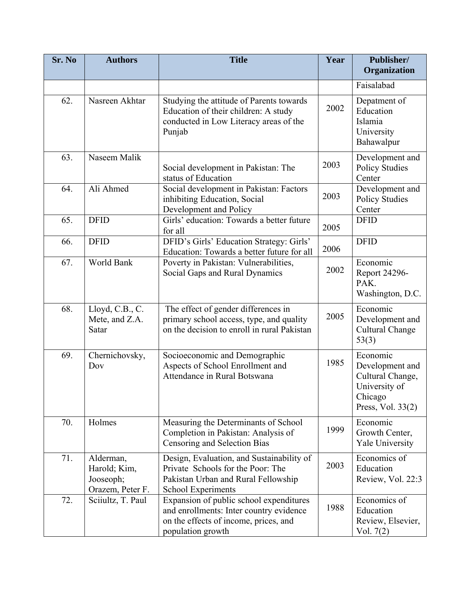| Sr. No | <b>Authors</b>                                             | <b>Title</b>                                                                                                                                     | Year | Publisher/<br>Organization                                                                       |
|--------|------------------------------------------------------------|--------------------------------------------------------------------------------------------------------------------------------------------------|------|--------------------------------------------------------------------------------------------------|
|        |                                                            |                                                                                                                                                  |      | Faisalabad                                                                                       |
| 62.    | Nasreen Akhtar                                             | Studying the attitude of Parents towards<br>Education of their children: A study<br>conducted in Low Literacy areas of the<br>Punjab             | 2002 | Depatment of<br>Education<br>Islamia<br>University<br>Bahawalpur                                 |
| 63.    | Naseem Malik                                               | Social development in Pakistan: The<br>status of Education                                                                                       | 2003 | Development and<br><b>Policy Studies</b><br>Center                                               |
| 64.    | Ali Ahmed                                                  | Social development in Pakistan: Factors<br>inhibiting Education, Social<br>Development and Policy                                                | 2003 | Development and<br><b>Policy Studies</b><br>Center                                               |
| 65.    | <b>DFID</b>                                                | Girls' education: Towards a better future<br>for all                                                                                             | 2005 | <b>DFID</b>                                                                                      |
| 66.    | <b>DFID</b>                                                | DFID's Girls' Education Strategy: Girls'<br>Education: Towards a better future for all                                                           | 2006 | <b>DFID</b>                                                                                      |
| 67.    | World Bank                                                 | Poverty in Pakistan: Vulnerabilities,<br>Social Gaps and Rural Dynamics                                                                          | 2002 | Economic<br>Report 24296-<br>PAK.<br>Washington, D.C.                                            |
| 68.    | Lloyd, C.B., C.<br>Mete, and Z.A.<br>Satar                 | The effect of gender differences in<br>primary school access, type, and quality<br>on the decision to enroll in rural Pakistan                   | 2005 | Economic<br>Development and<br><b>Cultural Change</b><br>53(3)                                   |
| 69.    | Chernichovsky,<br>Dov                                      | Socioeconomic and Demographic<br>Aspects of School Enrollment and<br>Attendance in Rural Botswana                                                | 1985 | Economic<br>Development and<br>Cultural Change,<br>University of<br>Chicago<br>Press, Vol. 33(2) |
| 70.    | Holmes                                                     | Measuring the Determinants of School<br>Completion in Pakistan: Analysis of<br>Censoring and Selection Bias                                      | 1999 | Economic<br>Growth Center,<br><b>Yale University</b>                                             |
| 71.    | Alderman,<br>Harold; Kim,<br>Jooseoph;<br>Orazem, Peter F. | Design, Evaluation, and Sustainability of<br>Private Schools for the Poor: The<br>Pakistan Urban and Rural Fellowship<br>School Experiments      | 2003 | Economics of<br>Education<br>Review, Vol. 22:3                                                   |
| 72.    | Sciiultz, T. Paul                                          | Expansion of public school expenditures<br>and enrollments: Inter country evidence<br>on the effects of income, prices, and<br>population growth | 1988 | Economics of<br>Education<br>Review, Elsevier,<br>Vol. $7(2)$                                    |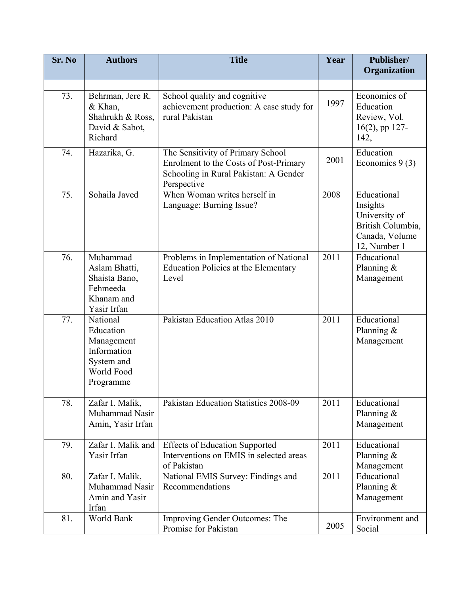| Sr. No | <b>Authors</b>                                                                              | <b>Title</b>                                                                                                                        | Year | Publisher/<br>Organization                                                                      |
|--------|---------------------------------------------------------------------------------------------|-------------------------------------------------------------------------------------------------------------------------------------|------|-------------------------------------------------------------------------------------------------|
| 73.    | Behrman, Jere R.<br>& Khan,<br>Shahrukh & Ross,<br>David & Sabot,<br>Richard                | School quality and cognitive<br>achievement production: A case study for<br>rural Pakistan                                          | 1997 | Economics of<br>Education<br>Review, Vol.<br>$16(2)$ , pp 127-<br>142,                          |
| 74.    | Hazarika, G.                                                                                | The Sensitivity of Primary School<br>Enrolment to the Costs of Post-Primary<br>Schooling in Rural Pakistan: A Gender<br>Perspective | 2001 | Education<br>Economics $9(3)$                                                                   |
| 75.    | Sohaila Javed                                                                               | When Woman writes herself in<br>Language: Burning Issue?                                                                            | 2008 | Educational<br>Insights<br>University of<br>British Columbia,<br>Canada, Volume<br>12, Number 1 |
| 76.    | Muhammad<br>Aslam Bhatti,<br>Shaista Bano,<br>Fehmeeda<br>Khanam and<br>Yasir Irfan         | Problems in Implementation of National<br><b>Education Policies at the Elementary</b><br>Level                                      | 2011 | Educational<br>Planning &<br>Management                                                         |
| 77.    | National<br>Education<br>Management<br>Information<br>System and<br>World Food<br>Programme | Pakistan Education Atlas 2010                                                                                                       | 2011 | Educational<br>Planning &<br>Management                                                         |
| 78.    | Zafar I. Malik,<br>Muhammad Nasir<br>Amin, Yasir Irfan                                      | Pakistan Education Statistics 2008-09                                                                                               | 2011 | Educational<br>Planning &<br>Management                                                         |
| 79.    | Zafar I. Malik and<br>Yasir Irfan                                                           | <b>Effects of Education Supported</b><br>Interventions on EMIS in selected areas<br>of Pakistan                                     | 2011 | Educational<br>Planning $\&$<br>Management                                                      |
| 80.    | Zafar I. Malik,<br>Muhammad Nasir<br>Amin and Yasir<br>Irfan                                | National EMIS Survey: Findings and<br>Recommendations                                                                               | 2011 | Educational<br>Planning $\&$<br>Management                                                      |
| 81.    | World Bank                                                                                  | Improving Gender Outcomes: The<br>Promise for Pakistan                                                                              | 2005 | Environment and<br>Social                                                                       |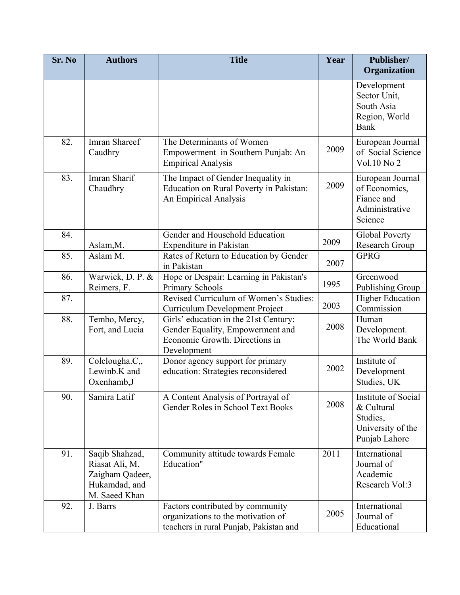| Sr. No | <b>Authors</b>                                                                        | <b>Title</b>                                                                                                               | Year | Publisher/<br>Organization                                                          |
|--------|---------------------------------------------------------------------------------------|----------------------------------------------------------------------------------------------------------------------------|------|-------------------------------------------------------------------------------------|
|        |                                                                                       |                                                                                                                            |      | Development<br>Sector Unit,<br>South Asia<br>Region, World<br><b>Bank</b>           |
| 82.    | <b>Imran Shareef</b><br>Caudhry                                                       | The Determinants of Women<br>Empowerment in Southern Punjab: An<br><b>Empirical Analysis</b>                               | 2009 | European Journal<br>of Social Science<br>Vol.10 No 2                                |
| 83.    | Imran Sharif<br>Chaudhry                                                              | The Impact of Gender Inequality in<br>Education on Rural Poverty in Pakistan:<br>An Empirical Analysis                     | 2009 | European Journal<br>of Economics,<br>Fiance and<br>Administrative<br>Science        |
| 84.    | Aslam, M.                                                                             | Gender and Household Education<br>Expenditure in Pakistan                                                                  | 2009 | <b>Global Poverty</b><br>Research Group                                             |
| 85.    | Aslam M.                                                                              | Rates of Return to Education by Gender<br>in Pakistan                                                                      | 2007 | <b>GPRG</b>                                                                         |
| 86.    | Warwick, D. P. &<br>Reimers, F.                                                       | Hope or Despair: Learning in Pakistan's<br><b>Primary Schools</b>                                                          | 1995 | Greenwood<br>Publishing Group                                                       |
| 87.    |                                                                                       | Revised Curriculum of Women's Studies:<br>Curriculum Development Project                                                   | 2003 | <b>Higher Education</b><br>Commission                                               |
| 88.    | Tembo, Mercy,<br>Fort, and Lucia                                                      | Girls' education in the 21st Century:<br>Gender Equality, Empowerment and<br>Economic Growth. Directions in<br>Development | 2008 | Human<br>Development.<br>The World Bank                                             |
| 89.    | Colclougha.C,<br>Lewinb.K and<br>Oxenhamb, J                                          | Donor agency support for primary<br>education: Strategies reconsidered                                                     | 2002 | Institute of<br>Development<br>Studies, UK                                          |
| 90.    | Samira Latif                                                                          | A Content Analysis of Portrayal of<br>Gender Roles in School Text Books                                                    | 2008 | Institute of Social<br>& Cultural<br>Studies,<br>University of the<br>Punjab Lahore |
| 91.    | Saqib Shahzad,<br>Riasat Ali, M.<br>Zaigham Qadeer,<br>Hukamdad, and<br>M. Saeed Khan | Community attitude towards Female<br>Education"                                                                            | 2011 | International<br>Journal of<br>Academic<br>Research Vol:3                           |
| 92.    | J. Barrs                                                                              | Factors contributed by community<br>organizations to the motivation of<br>teachers in rural Punjab, Pakistan and           | 2005 | International<br>Journal of<br>Educational                                          |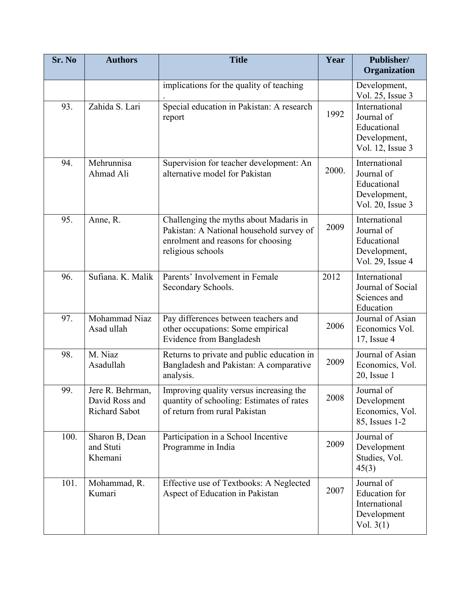| Sr. No | <b>Authors</b>                                      | <b>Title</b>                                                                                                                                  | Year  | Publisher/<br>Organization                                                        |
|--------|-----------------------------------------------------|-----------------------------------------------------------------------------------------------------------------------------------------------|-------|-----------------------------------------------------------------------------------|
|        |                                                     | implications for the quality of teaching                                                                                                      |       | Development,<br>Vol. 25, Issue 3                                                  |
| 93.    | Zahida S. Lari                                      | Special education in Pakistan: A research<br>report                                                                                           | 1992  | International<br>Journal of<br>Educational<br>Development,<br>Vol. 12, Issue 3    |
| 94.    | Mehrunnisa<br>Ahmad Ali                             | Supervision for teacher development: An<br>alternative model for Pakistan                                                                     | 2000. | International<br>Journal of<br>Educational<br>Development,<br>Vol. 20, Issue 3    |
| 95.    | Anne, R.                                            | Challenging the myths about Madaris in<br>Pakistan: A National household survey of<br>enrolment and reasons for choosing<br>religious schools | 2009  | International<br>Journal of<br>Educational<br>Development,<br>Vol. 29, Issue 4    |
| 96.    | Sufiana. K. Malik                                   | Parents' Involvement in Female<br>Secondary Schools.                                                                                          | 2012  | International<br>Journal of Social<br>Sciences and<br>Education                   |
| 97.    | Mohammad Niaz<br>Asad ullah                         | Pay differences between teachers and<br>other occupations: Some empirical<br><b>Evidence from Bangladesh</b>                                  | 2006  | Journal of Asian<br>Economics Vol.<br>$17$ , Issue 4                              |
| 98.    | M. Niaz<br>Asadullah                                | Returns to private and public education in<br>Bangladesh and Pakistan: A comparative<br>analysis.                                             | 2009  | Journal of Asian<br>Economics, Vol.<br>$20$ , Issue 1                             |
| 99.    | Jere R. Behrman,<br>David Ross and<br>Richard Sabot | Improving quality versus increasing the<br>quantity of schooling: Estimates of rates<br>of return from rural Pakistan                         | 2008  | Journal of<br>Development<br>Economics, Vol.<br>85, Issues 1-2                    |
| 100.   | Sharon B, Dean<br>and Stuti<br>Khemani              | Participation in a School Incentive<br>Programme in India                                                                                     | 2009  | Journal of<br>Development<br>Studies, Vol.<br>45(3)                               |
| 101.   | Mohammad, R.<br>Kumari                              | Effective use of Textbooks: A Neglected<br>Aspect of Education in Pakistan                                                                    | 2007  | Journal of<br><b>Education</b> for<br>International<br>Development<br>Vol. $3(1)$ |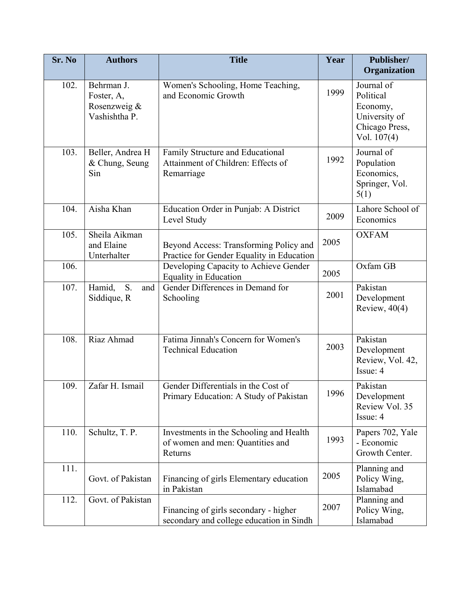| Sr. No | <b>Authors</b>                                            | <b>Title</b>                                                                           | Year | Publisher/<br>Organization                                                              |
|--------|-----------------------------------------------------------|----------------------------------------------------------------------------------------|------|-----------------------------------------------------------------------------------------|
| 102.   | Behrman J.<br>Foster, A,<br>Rosenzweig &<br>Vashishtha P. | Women's Schooling, Home Teaching,<br>and Economic Growth                               | 1999 | Journal of<br>Political<br>Economy,<br>University of<br>Chicago Press,<br>Vol. $107(4)$ |
| 103.   | Beller, Andrea H<br>& Chung, Seung<br>Sin                 | Family Structure and Educational<br>Attainment of Children: Effects of<br>Remarriage   | 1992 | Journal of<br>Population<br>Economics,<br>Springer, Vol.<br>5(1)                        |
| 104.   | Aisha Khan                                                | Education Order in Punjab: A District<br>Level Study                                   | 2009 | Lahore School of<br>Economics                                                           |
| 105.   | Sheila Aikman<br>and Elaine<br>Unterhalter                | Beyond Access: Transforming Policy and<br>Practice for Gender Equality in Education    | 2005 | <b>OXFAM</b>                                                                            |
| 106.   |                                                           | Developing Capacity to Achieve Gender<br><b>Equality in Education</b>                  | 2005 | Oxfam GB                                                                                |
| 107.   | Hamid,<br>S.<br>and<br>Siddique, R                        | Gender Differences in Demand for<br>Schooling                                          | 2001 | Pakistan<br>Development<br>Review, $40(4)$                                              |
| 108.   | Riaz Ahmad                                                | Fatima Jinnah's Concern for Women's<br><b>Technical Education</b>                      | 2003 | Pakistan<br>Development<br>Review, Vol. 42,<br>Issue: 4                                 |
| 109.   | Zafar H. Ismail                                           | Gender Differentials in the Cost of<br>Primary Education: A Study of Pakistan          | 1996 | Pakistan<br>Development<br>Review Vol. 35<br>Issue: 4                                   |
| 110.   | Schultz, T. P.                                            | Investments in the Schooling and Health<br>of women and men: Quantities and<br>Returns | 1993 | Papers 702, Yale<br>- Economic<br>Growth Center.                                        |
| 111.   | Govt. of Pakistan                                         | Financing of girls Elementary education<br>in Pakistan                                 | 2005 | Planning and<br>Policy Wing,<br>Islamabad                                               |
| 112.   | Govt. of Pakistan                                         | Financing of girls secondary - higher<br>secondary and college education in Sindh      | 2007 | Planning and<br>Policy Wing,<br>Islamabad                                               |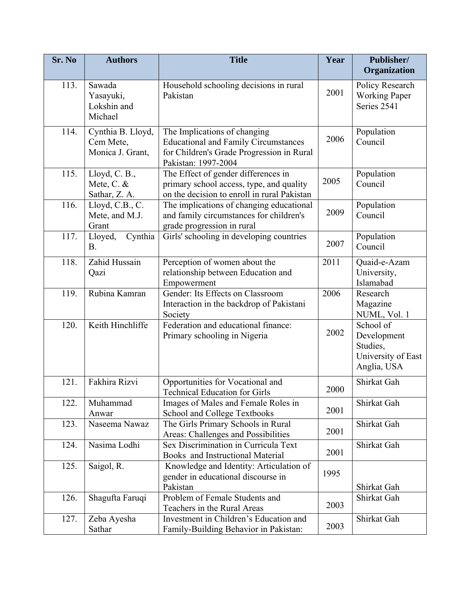| Sr. No | <b>Authors</b>                                     | <b>Title</b>                                                                                                                                    | Year | Publisher/<br>Organization                                                |
|--------|----------------------------------------------------|-------------------------------------------------------------------------------------------------------------------------------------------------|------|---------------------------------------------------------------------------|
| 113.   | Sawada<br>Yasayuki,<br>Lokshin and<br>Michael      | Household schooling decisions in rural<br>Pakistan                                                                                              | 2001 | Policy Research<br><b>Working Paper</b><br>Series 2541                    |
| 114.   | Cynthia B. Lloyd,<br>Cem Mete,<br>Monica J. Grant, | The Implications of changing<br><b>Educational and Family Circumstances</b><br>for Children's Grade Progression in Rural<br>Pakistan: 1997-2004 | 2006 | Population<br>Council                                                     |
| 115.   | Lloyd, C. B.,<br>Mete, C. &<br>Sathar, Z. A.       | The Effect of gender differences in<br>primary school access, type, and quality<br>on the decision to enroll in rural Pakistan                  | 2005 | Population<br>Council                                                     |
| 116.   | Lloyd, C.B., C.<br>Mete, and M.J.<br>Grant         | The implications of changing educational<br>and family circumstances for children's<br>grade progression in rural                               | 2009 | Population<br>Council                                                     |
| 117.   | Cynthia<br>Lloyed,<br><b>B.</b>                    | Girls' schooling in developing countries                                                                                                        | 2007 | Population<br>Council                                                     |
| 118.   | Zahid Hussain<br>Qazi                              | Perception of women about the<br>relationship between Education and<br>Empowerment                                                              | 2011 | Quaid-e-Azam<br>University,<br>Islamabad                                  |
| 119.   | Rubina Kamran                                      | Gender: Its Effects on Classroom<br>Interaction in the backdrop of Pakistani<br>Society                                                         | 2006 | Research<br>Magazine<br>NUML, Vol. 1                                      |
| 120.   | Keith Hinchliffe                                   | Federation and educational finance:<br>Primary schooling in Nigeria                                                                             | 2002 | School of<br>Development<br>Studies,<br>University of East<br>Anglia, USA |
| 121.   | Fakhira Rizvi                                      | Opportunities for Vocational and<br><b>Technical Education for Girls</b>                                                                        | 2000 | Shirkat Gah                                                               |
| 122.   | Muhammad<br>Anwar                                  | Images of Males and Female Roles in<br>School and College Textbooks                                                                             | 2001 | Shirkat Gah                                                               |
| 123.   | Naseema Nawaz                                      | The Girls Primary Schools in Rural<br>Areas: Challenges and Possibilities                                                                       | 2001 | Shirkat Gah                                                               |
| 124.   | Nasima Lodhi                                       | Sex Discrimination in Curricula Text<br>Books and Instructional Material                                                                        | 2001 | Shirkat Gah                                                               |
| 125.   | Saigol, R.                                         | Knowledge and Identity: Articulation of<br>gender in educational discourse in<br>Pakistan                                                       | 1995 | Shirkat Gah                                                               |
| 126.   | Shagufta Faruqi                                    | Problem of Female Students and<br>Teachers in the Rural Areas                                                                                   | 2003 | Shirkat Gah                                                               |
| 127.   | Zeba Ayesha<br>Sathar                              | Investment in Children's Education and<br>Family-Building Behavior in Pakistan:                                                                 | 2003 | Shirkat Gah                                                               |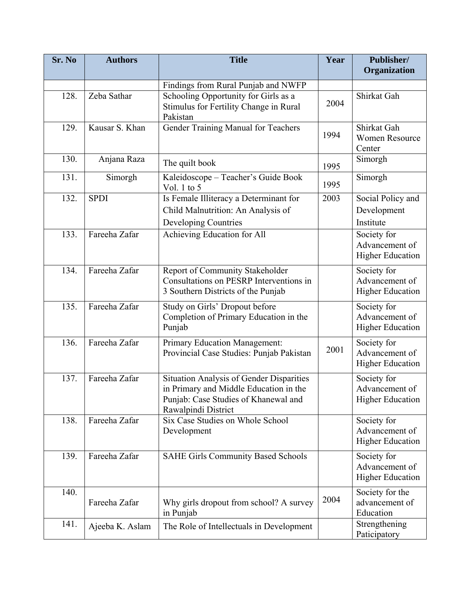| Sr. No | <b>Authors</b>  | <b>Title</b>                                                                                                                                             | Year | Publisher/<br>Organization                               |
|--------|-----------------|----------------------------------------------------------------------------------------------------------------------------------------------------------|------|----------------------------------------------------------|
|        |                 | Findings from Rural Punjab and NWFP                                                                                                                      |      |                                                          |
| 128.   | Zeba Sathar     | Schooling Opportunity for Girls as a<br>Stimulus for Fertility Change in Rural<br>Pakistan                                                               | 2004 | Shirkat Gah                                              |
| 129.   | Kausar S. Khan  | Gender Training Manual for Teachers                                                                                                                      | 1994 | Shirkat Gah<br><b>Women Resource</b><br>Center           |
| 130.   | Anjana Raza     | The quilt book                                                                                                                                           | 1995 | Simorgh                                                  |
| 131.   | Simorgh         | Kaleidoscope - Teacher's Guide Book<br>Vol. 1 to $5$                                                                                                     | 1995 | Simorgh                                                  |
| 132.   | <b>SPDI</b>     | Is Female Illiteracy a Determinant for<br>Child Malnutrition: An Analysis of<br>Developing Countries                                                     | 2003 | Social Policy and<br>Development<br>Institute            |
| 133.   | Fareeha Zafar   | Achieving Education for All                                                                                                                              |      | Society for<br>Advancement of<br><b>Higher Education</b> |
| 134.   | Fareeha Zafar   | Report of Community Stakeholder<br>Consultations on PESRP Interventions in<br>3 Southern Districts of the Punjab                                         |      | Society for<br>Advancement of<br><b>Higher Education</b> |
| 135.   | Fareeha Zafar   | Study on Girls' Dropout before<br>Completion of Primary Education in the<br>Punjab                                                                       |      | Society for<br>Advancement of<br><b>Higher Education</b> |
| 136.   | Fareeha Zafar   | Primary Education Management:<br>Provincial Case Studies: Punjab Pakistan                                                                                | 2001 | Society for<br>Advancement of<br><b>Higher Education</b> |
| 137.   | Fareeha Zafar   | <b>Situation Analysis of Gender Disparities</b><br>in Primary and Middle Education in the<br>Punjab: Case Studies of Khanewal and<br>Rawalpindi District |      | Society for<br>Advancement of<br><b>Higher Education</b> |
| 138.   | Fareeha Zafar   | Six Case Studies on Whole School<br>Development                                                                                                          |      | Society for<br>Advancement of<br><b>Higher Education</b> |
| 139.   | Fareeha Zafar   | <b>SAHE Girls Community Based Schools</b>                                                                                                                |      | Society for<br>Advancement of<br><b>Higher Education</b> |
| 140.   | Fareeha Zafar   | Why girls dropout from school? A survey<br>in Punjab                                                                                                     | 2004 | Society for the<br>advancement of<br>Education           |
| 141.   | Ajeeba K. Aslam | The Role of Intellectuals in Development                                                                                                                 |      | Strengthening<br>Paticipatory                            |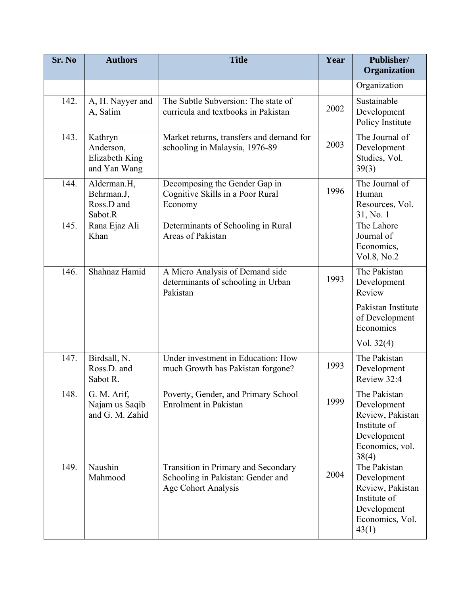| Sr. No | <b>Authors</b>                                         | <b>Title</b>                                                                                    | Year | Publisher/<br>Organization                                                                                 |
|--------|--------------------------------------------------------|-------------------------------------------------------------------------------------------------|------|------------------------------------------------------------------------------------------------------------|
|        |                                                        |                                                                                                 |      | Organization                                                                                               |
| 142.   | A, H. Nayyer and<br>A, Salim                           | The Subtle Subversion: The state of<br>curricula and textbooks in Pakistan                      | 2002 | Sustainable<br>Development<br>Policy Institute                                                             |
| 143.   | Kathryn<br>Anderson,<br>Elizabeth King<br>and Yan Wang | Market returns, transfers and demand for<br>schooling in Malaysia, 1976-89                      | 2003 | The Journal of<br>Development<br>Studies, Vol.<br>39(3)                                                    |
| 144.   | Alderman.H,<br>Behrman.J,<br>Ross.D and<br>Sabot.R     | Decomposing the Gender Gap in<br>Cognitive Skills in a Poor Rural<br>Economy                    | 1996 | The Journal of<br>Human<br>Resources, Vol.<br>31, No. 1                                                    |
| 145.   | Rana Ejaz Ali<br>Khan                                  | Determinants of Schooling in Rural<br>Areas of Pakistan                                         |      | The Lahore<br>Journal of<br>Economics,<br>Vol.8, No.2                                                      |
| 146.   | Shahnaz Hamid                                          | A Micro Analysis of Demand side<br>determinants of schooling in Urban<br>Pakistan               | 1993 | The Pakistan<br>Development<br>Review                                                                      |
|        |                                                        |                                                                                                 |      | Pakistan Institute<br>of Development<br>Economics                                                          |
|        |                                                        |                                                                                                 |      | Vol. $32(4)$                                                                                               |
| 147.   | Birdsall, N.<br>Ross.D. and<br>Sabot R.                | Under investment in Education: How<br>much Growth has Pakistan forgone?                         | 1993 | The Pakistan<br>Development<br>Review 32:4                                                                 |
| 148.   | G. M. Arif,<br>Najam us Saqib<br>and G. M. Zahid       | Poverty, Gender, and Primary School<br><b>Enrolment</b> in Pakistan                             | 1999 | The Pakistan<br>Development<br>Review, Pakistan<br>Institute of<br>Development<br>Economics, vol.<br>38(4) |
| 149.   | Naushin<br>Mahmood                                     | Transition in Primary and Secondary<br>Schooling in Pakistan: Gender and<br>Age Cohort Analysis | 2004 | The Pakistan<br>Development<br>Review, Pakistan<br>Institute of<br>Development<br>Economics, Vol.<br>43(1) |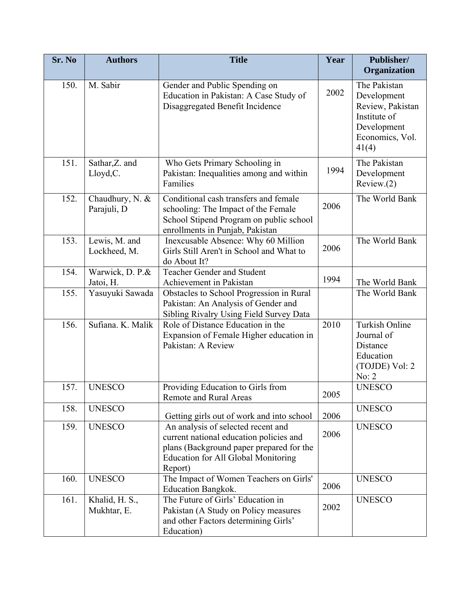| Sr. No | <b>Authors</b>                 | <b>Title</b>                                                                                                                                                                       | Year | Publisher/<br>Organization                                                                                 |
|--------|--------------------------------|------------------------------------------------------------------------------------------------------------------------------------------------------------------------------------|------|------------------------------------------------------------------------------------------------------------|
| 150.   | M. Sabir                       | Gender and Public Spending on<br>Education in Pakistan: A Case Study of<br>Disaggregated Benefit Incidence                                                                         | 2002 | The Pakistan<br>Development<br>Review, Pakistan<br>Institute of<br>Development<br>Economics, Vol.<br>41(4) |
| 151.   | Sathar, Z. and<br>Lloyd, C.    | Who Gets Primary Schooling in<br>Pakistan: Inequalities among and within<br>Families                                                                                               | 1994 | The Pakistan<br>Development<br>Review(2)                                                                   |
| 152.   | Chaudhury, N. &<br>Parajuli, D | Conditional cash transfers and female<br>schooling: The Impact of the Female<br>School Stipend Program on public school<br>enrollments in Punjab, Pakistan                         | 2006 | The World Bank                                                                                             |
| 153.   | Lewis, M. and<br>Lockheed, M.  | Inexcusable Absence: Why 60 Million<br>Girls Still Aren't in School and What to<br>do About It?                                                                                    | 2006 | The World Bank                                                                                             |
| 154.   | Warwick, D. P.&<br>Jatoi, H.   | <b>Teacher Gender and Student</b><br>Achievement in Pakistan                                                                                                                       | 1994 | The World Bank                                                                                             |
| 155.   | Yasuyuki Sawada                | Obstacles to School Progression in Rural<br>Pakistan: An Analysis of Gender and<br>Sibling Rivalry Using Field Survey Data                                                         |      | The World Bank                                                                                             |
| 156.   | Sufiana, K. Malik              | Role of Distance Education in the<br>Expansion of Female Higher education in<br>Pakistan: A Review                                                                                 | 2010 | Turkish Online<br>Journal of<br>Distance<br>Education<br>(TOJDE) Vol: 2<br>No: 2                           |
| 157.   | <b>UNESCO</b>                  | Providing Education to Girls from<br><b>Remote and Rural Areas</b>                                                                                                                 | 2005 | <b>UNESCO</b>                                                                                              |
| 158.   | <b>UNESCO</b>                  | Getting girls out of work and into school                                                                                                                                          | 2006 | <b>UNESCO</b>                                                                                              |
| 159.   | <b>UNESCO</b>                  | An analysis of selected recent and<br>current national education policies and<br>plans (Background paper prepared for the<br><b>Education for All Global Monitoring</b><br>Report) | 2006 | <b>UNESCO</b>                                                                                              |
| 160.   | <b>UNESCO</b>                  | The Impact of Women Teachers on Girls'<br><b>Education Bangkok.</b>                                                                                                                | 2006 | <b>UNESCO</b>                                                                                              |
| 161.   | Khalid, H. S.,<br>Mukhtar, E.  | The Future of Girls' Education in<br>Pakistan (A Study on Policy measures<br>and other Factors determining Girls'<br>Education)                                                    | 2002 | <b>UNESCO</b>                                                                                              |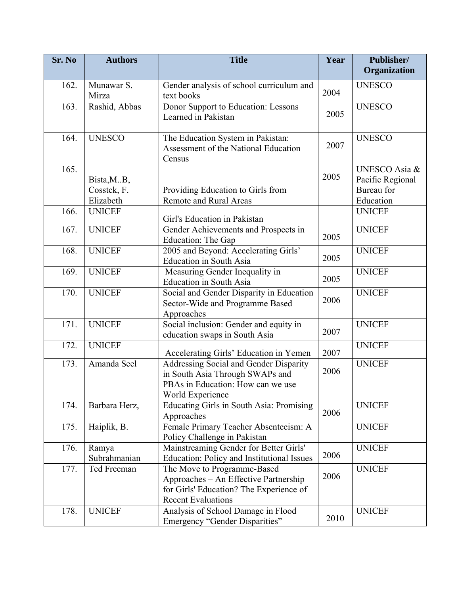| Sr. No | <b>Authors</b>                          | <b>Title</b>                                                                                                                                 | Year | Publisher/<br>Organization                                   |
|--------|-----------------------------------------|----------------------------------------------------------------------------------------------------------------------------------------------|------|--------------------------------------------------------------|
| 162.   | Munawar S.<br>Mirza                     | Gender analysis of school curriculum and<br>text books                                                                                       | 2004 | <b>UNESCO</b>                                                |
| 163.   | Rashid, Abbas                           | Donor Support to Education: Lessons<br>Learned in Pakistan                                                                                   | 2005 | <b>UNESCO</b>                                                |
| 164.   | <b>UNESCO</b>                           | The Education System in Pakistan:<br>Assessment of the National Education<br>Census                                                          | 2007 | <b>UNESCO</b>                                                |
| 165.   | Bista, M.B.<br>Cosstek, F.<br>Elizabeth | Providing Education to Girls from<br><b>Remote and Rural Areas</b>                                                                           | 2005 | UNESCO Asia &<br>Pacific Regional<br>Bureau for<br>Education |
| 166.   | <b>UNICEF</b>                           | Girl's Education in Pakistan                                                                                                                 |      | <b>UNICEF</b>                                                |
| 167.   | <b>UNICEF</b>                           | Gender Achievements and Prospects in<br>Education: The Gap                                                                                   | 2005 | <b>UNICEF</b>                                                |
| 168.   | <b>UNICEF</b>                           | 2005 and Beyond: Accelerating Girls'<br><b>Education in South Asia</b>                                                                       | 2005 | <b>UNICEF</b>                                                |
| 169.   | <b>UNICEF</b>                           | Measuring Gender Inequality in<br><b>Education</b> in South Asia                                                                             | 2005 | <b>UNICEF</b>                                                |
| 170.   | <b>UNICEF</b>                           | Social and Gender Disparity in Education<br>Sector-Wide and Programme Based<br>Approaches                                                    | 2006 | <b>UNICEF</b>                                                |
| 171.   | <b>UNICEF</b>                           | Social inclusion: Gender and equity in<br>education swaps in South Asia                                                                      | 2007 | <b>UNICEF</b>                                                |
| 172.   | <b>UNICEF</b>                           | Accelerating Girls' Education in Yemen                                                                                                       | 2007 | <b>UNICEF</b>                                                |
| 173.   | Amanda Seel                             | Addressing Social and Gender Disparity<br>in South Asia Through SWAPs and<br>PBAs in Education: How can we use<br>World Experience           | 2006 | <b>UNICEF</b>                                                |
| 174.   | Barbara Herz,                           | Educating Girls in South Asia: Promising<br>Approaches                                                                                       | 2006 | <b>UNICEF</b>                                                |
| 175.   | Haiplik, B.                             | Female Primary Teacher Absenteeism: A<br>Policy Challenge in Pakistan                                                                        |      | <b>UNICEF</b>                                                |
| 176.   | Ramya<br>Subrahmanian                   | Mainstreaming Gender for Better Girls'<br><b>Education: Policy and Institutional Issues</b>                                                  | 2006 | <b>UNICEF</b>                                                |
| 177.   | Ted Freeman                             | The Move to Programme-Based<br>Approaches - An Effective Partnership<br>for Girls' Education? The Experience of<br><b>Recent Evaluations</b> | 2006 | <b>UNICEF</b>                                                |
| 178.   | <b>UNICEF</b>                           | Analysis of School Damage in Flood<br>Emergency "Gender Disparities"                                                                         | 2010 | <b>UNICEF</b>                                                |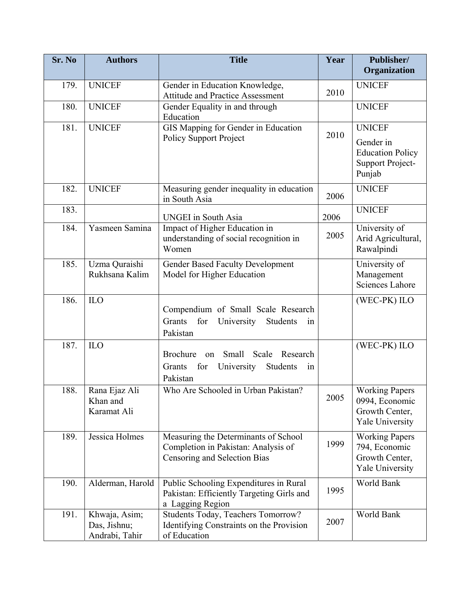| Sr. No | <b>Authors</b>                                  | <b>Title</b>                                                                                                | Year | Publisher/<br>Organization                                                          |
|--------|-------------------------------------------------|-------------------------------------------------------------------------------------------------------------|------|-------------------------------------------------------------------------------------|
|        |                                                 |                                                                                                             |      |                                                                                     |
| 179.   | <b>UNICEF</b>                                   | Gender in Education Knowledge,<br><b>Attitude and Practice Assessment</b>                                   | 2010 | <b>UNICEF</b>                                                                       |
| 180.   | <b>UNICEF</b>                                   | Gender Equality in and through<br>Education                                                                 |      | <b>UNICEF</b>                                                                       |
| 181.   | <b>UNICEF</b>                                   | GIS Mapping for Gender in Education<br><b>Policy Support Project</b>                                        | 2010 | <b>UNICEF</b><br>Gender in<br><b>Education Policy</b><br>Support Project-<br>Punjab |
| 182.   | <b>UNICEF</b>                                   | Measuring gender inequality in education<br>in South Asia                                                   | 2006 | <b>UNICEF</b>                                                                       |
| 183.   |                                                 | <b>UNGEI</b> in South Asia                                                                                  | 2006 | <b>UNICEF</b>                                                                       |
| 184.   | Yasmeen Samina                                  | Impact of Higher Education in<br>understanding of social recognition in<br>Women                            | 2005 | University of<br>Arid Agricultural,<br>Rawalpindi                                   |
| 185.   | Uzma Quraishi<br>Rukhsana Kalim                 | <b>Gender Based Faculty Development</b><br>Model for Higher Education                                       |      | University of<br>Management<br>Sciences Lahore                                      |
| 186.   | ILO                                             | Compendium of Small Scale Research<br>Grants<br>for University<br>Students<br>1n<br>Pakistan                |      | (WEC-PK) ILO                                                                        |
| 187.   | ILO                                             | Brochure<br>Small Scale Research<br>on<br>for<br>University<br>Grants<br>Students<br>1n<br>Pakistan         |      | (WEC-PK) ILO                                                                        |
| 188.   | Rana Ejaz Ali<br>Khan and<br>Karamat Ali        | Who Are Schooled in Urban Pakistan?                                                                         | 2005 | <b>Working Papers</b><br>0994, Economic<br>Growth Center,<br>Yale University        |
| 189.   | Jessica Holmes                                  | Measuring the Determinants of School<br>Completion in Pakistan: Analysis of<br>Censoring and Selection Bias | 1999 | <b>Working Papers</b><br>794, Economic<br>Growth Center,<br><b>Yale University</b>  |
| 190.   | Alderman, Harold                                | Public Schooling Expenditures in Rural<br>Pakistan: Efficiently Targeting Girls and<br>a Lagging Region     | 1995 | World Bank                                                                          |
| 191.   | Khwaja, Asim;<br>Das, Jishnu;<br>Andrabi, Tahir | Students Today, Teachers Tomorrow?<br>Identifying Constraints on the Provision<br>of Education              | 2007 | World Bank                                                                          |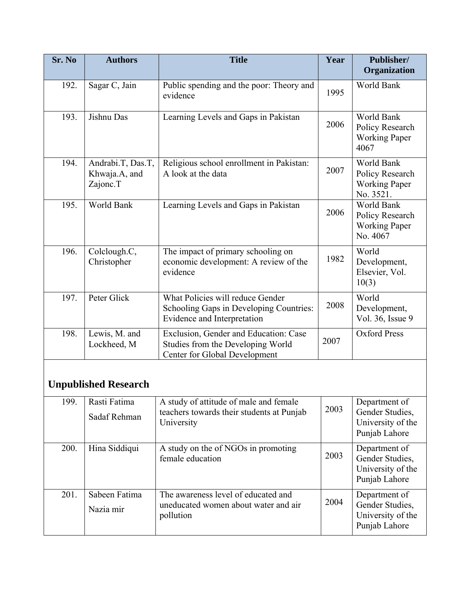| Sr. No | <b>Authors</b>                                 | <b>Title</b>                                                                                                | Year | Publisher/<br>Organization                                             |
|--------|------------------------------------------------|-------------------------------------------------------------------------------------------------------------|------|------------------------------------------------------------------------|
| 192.   | Sagar C, Jain                                  | Public spending and the poor: Theory and<br>evidence                                                        | 1995 | World Bank                                                             |
| 193.   | Jishnu Das                                     | Learning Levels and Gaps in Pakistan                                                                        | 2006 | World Bank<br>Policy Research<br><b>Working Paper</b><br>4067          |
| 194.   | Andrabi.T, Das.T,<br>Khwaja.A, and<br>Zajonc.T | Religious school enrollment in Pakistan:<br>A look at the data                                              | 2007 | World Bank<br>Policy Research<br><b>Working Paper</b><br>No. 3521.     |
| 195.   | World Bank                                     | Learning Levels and Gaps in Pakistan                                                                        | 2006 | World Bank<br>Policy Research<br><b>Working Paper</b><br>No. 4067      |
| 196.   | Colclough.C,<br>Christopher                    | The impact of primary schooling on<br>economic development: A review of the<br>evidence                     | 1982 | World<br>Development,<br>Elsevier, Vol.<br>10(3)                       |
| 197.   | Peter Glick                                    | What Policies will reduce Gender<br>Schooling Gaps in Developing Countries:<br>Evidence and Interpretation  | 2008 | World<br>Development,<br>Vol. 36, Issue 9                              |
| 198.   | Lewis, M. and<br>Lockheed, M                   | Exclusion, Gender and Education: Case<br>Studies from the Developing World<br>Center for Global Development | 2007 | <b>Oxford Press</b>                                                    |
|        | <b>Unpublished Research</b>                    |                                                                                                             |      |                                                                        |
| 199.   | Rasti Fatima<br>Sadaf Rehman                   | A study of attitude of male and female<br>teachers towards their students at Punjab<br>University           | 2003 | Department of<br>Gender Studies,<br>University of the<br>Punjab Lahore |
| 200.   | Hina Siddiqui                                  | A study on the of NGOs in promoting<br>female education                                                     | 2003 | Department of<br>Gender Studies,<br>University of the<br>Punjab Lahore |
| 201.   | Sabeen Fatima<br>Nazia mir                     | The awareness level of educated and<br>uneducated women about water and air<br>pollution                    | 2004 | Department of<br>Gender Studies,<br>University of the<br>Punjab Lahore |

 $\mathsf{l}$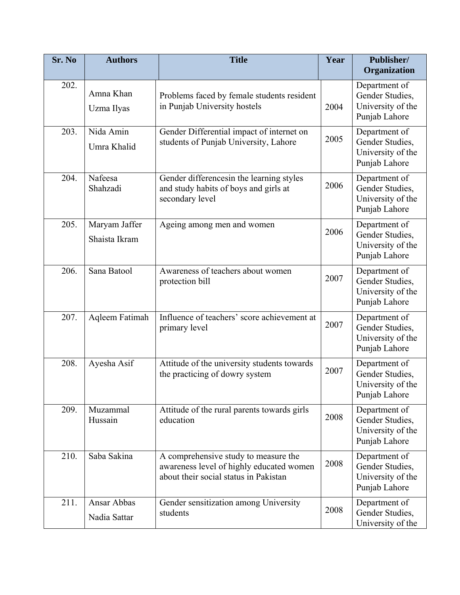| Sr. No | <b>Authors</b>                 | <b>Title</b>                                                                                                              | Year | Publisher/<br>Organization                                             |
|--------|--------------------------------|---------------------------------------------------------------------------------------------------------------------------|------|------------------------------------------------------------------------|
| 202.   | Amna Khan<br>Uzma Ilyas        | Problems faced by female students resident<br>in Punjab University hostels                                                | 2004 | Department of<br>Gender Studies,<br>University of the<br>Punjab Lahore |
| 203.   | Nida Amin<br>Umra Khalid       | Gender Differential impact of internet on<br>students of Punjab University, Lahore                                        | 2005 | Department of<br>Gender Studies,<br>University of the<br>Punjab Lahore |
| 204.   | Nafeesa<br>Shahzadi            | Gender differencesin the learning styles<br>and study habits of boys and girls at<br>secondary level                      | 2006 | Department of<br>Gender Studies,<br>University of the<br>Punjab Lahore |
| 205.   | Maryam Jaffer<br>Shaista Ikram | Ageing among men and women                                                                                                | 2006 | Department of<br>Gender Studies,<br>University of the<br>Punjab Lahore |
| 206.   | Sana Batool                    | Awareness of teachers about women<br>protection bill                                                                      | 2007 | Department of<br>Gender Studies,<br>University of the<br>Punjab Lahore |
| 207.   | Aqleem Fatimah                 | Influence of teachers' score achievement at<br>primary level                                                              | 2007 | Department of<br>Gender Studies,<br>University of the<br>Punjab Lahore |
| 208.   | Ayesha Asif                    | Attitude of the university students towards<br>the practicing of dowry system                                             | 2007 | Department of<br>Gender Studies,<br>University of the<br>Punjab Lahore |
| 209.   | Muzammal<br>Hussain            | Attitude of the rural parents towards girls<br>education                                                                  | 2008 | Department of<br>Gender Studies,<br>University of the<br>Punjab Lahore |
| 210.   | Saba Sakina                    | A comprehensive study to measure the<br>awareness level of highly educated women<br>about their social status in Pakistan | 2008 | Department of<br>Gender Studies,<br>University of the<br>Punjab Lahore |
| 211.   | Ansar Abbas<br>Nadia Sattar    | Gender sensitization among University<br>students                                                                         | 2008 | Department of<br>Gender Studies,<br>University of the                  |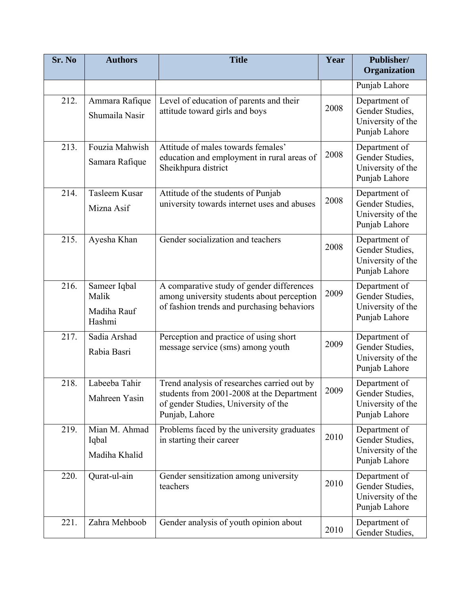| Sr. No | <b>Authors</b>                                 | <b>Title</b>                                                                                                                                       | Year | Publisher/<br>Organization                                             |
|--------|------------------------------------------------|----------------------------------------------------------------------------------------------------------------------------------------------------|------|------------------------------------------------------------------------|
|        |                                                |                                                                                                                                                    |      | Punjab Lahore                                                          |
| 212.   | Ammara Rafique<br>Shumaila Nasir               | Level of education of parents and their<br>attitude toward girls and boys                                                                          | 2008 | Department of<br>Gender Studies,<br>University of the<br>Punjab Lahore |
| 213.   | Fouzia Mahwish<br>Samara Rafique               | Attitude of males towards females'<br>education and employment in rural areas of<br>Sheikhpura district                                            | 2008 | Department of<br>Gender Studies,<br>University of the<br>Punjab Lahore |
| 214.   | Tasleem Kusar<br>Mizna Asif                    | Attitude of the students of Punjab<br>university towards internet uses and abuses                                                                  | 2008 | Department of<br>Gender Studies,<br>University of the<br>Punjab Lahore |
| 215.   | Ayesha Khan                                    | Gender socialization and teachers                                                                                                                  | 2008 | Department of<br>Gender Studies,<br>University of the<br>Punjab Lahore |
| 216.   | Sameer Iqbal<br>Malik<br>Madiha Rauf<br>Hashmi | A comparative study of gender differences<br>among university students about perception<br>of fashion trends and purchasing behaviors              | 2009 | Department of<br>Gender Studies,<br>University of the<br>Punjab Lahore |
| 217.   | Sadia Arshad<br>Rabia Basri                    | Perception and practice of using short<br>message service (sms) among youth                                                                        | 2009 | Department of<br>Gender Studies,<br>University of the<br>Punjab Lahore |
| 218.   | Labeeba Tahir<br>Mahreen Yasin                 | Trend analysis of researches carried out by<br>students from 2001-2008 at the Department<br>of gender Studies, University of the<br>Punjab, Lahore | 2009 | Department of<br>Gender Studies,<br>University of the<br>Punjab Lahore |
| 219.   | Mian M. Ahmad<br>Iqbal<br>Madiha Khalid        | Problems faced by the university graduates<br>in starting their career                                                                             | 2010 | Department of<br>Gender Studies,<br>University of the<br>Punjab Lahore |
| 220.   | Qurat-ul-ain                                   | Gender sensitization among university<br>teachers                                                                                                  | 2010 | Department of<br>Gender Studies,<br>University of the<br>Punjab Lahore |
| 221.   | Zahra Mehboob                                  | Gender analysis of youth opinion about                                                                                                             | 2010 | Department of<br>Gender Studies,                                       |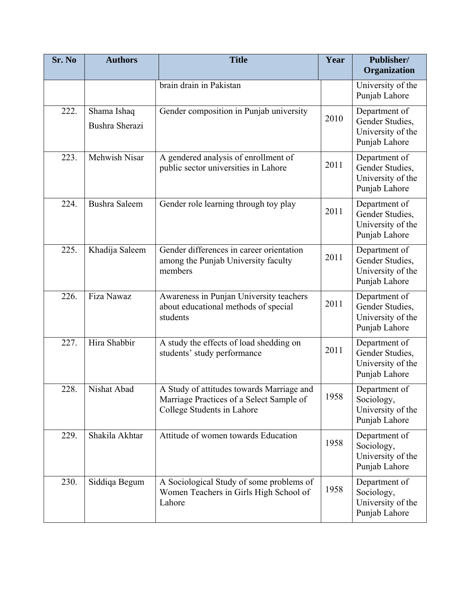| Sr. No | <b>Authors</b>                | <b>Title</b>                                                                                                        | Year | Publisher/<br>Organization                                             |
|--------|-------------------------------|---------------------------------------------------------------------------------------------------------------------|------|------------------------------------------------------------------------|
|        |                               | brain drain in Pakistan                                                                                             |      | University of the<br>Punjab Lahore                                     |
| 222.   | Shama Ishaq<br>Bushra Sherazi | Gender composition in Punjab university                                                                             | 2010 | Department of<br>Gender Studies,<br>University of the<br>Punjab Lahore |
| 223.   | Mehwish Nisar                 | A gendered analysis of enrollment of<br>public sector universities in Lahore                                        | 2011 | Department of<br>Gender Studies,<br>University of the<br>Punjab Lahore |
| 224.   | <b>Bushra Saleem</b>          | Gender role learning through toy play                                                                               | 2011 | Department of<br>Gender Studies,<br>University of the<br>Punjab Lahore |
| 225.   | Khadija Saleem                | Gender differences in career orientation<br>among the Punjab University faculty<br>members                          | 2011 | Department of<br>Gender Studies,<br>University of the<br>Punjab Lahore |
| 226.   | Fiza Nawaz                    | Awareness in Punjan University teachers<br>about educational methods of special<br>students                         | 2011 | Department of<br>Gender Studies,<br>University of the<br>Punjab Lahore |
| 227.   | Hira Shabbir                  | A study the effects of load shedding on<br>students' study performance                                              | 2011 | Department of<br>Gender Studies,<br>University of the<br>Punjab Lahore |
| 228.   | Nishat Abad                   | A Study of attitudes towards Marriage and<br>Marriage Practices of a Select Sample of<br>College Students in Lahore | 1958 | Department of<br>Sociology,<br>University of the<br>Punjab Lahore      |
| 229.   | Shakila Akhtar                | Attitude of women towards Education                                                                                 | 1958 | Department of<br>Sociology,<br>University of the<br>Punjab Lahore      |
| 230.   | Siddiqa Begum                 | A Sociological Study of some problems of<br>Women Teachers in Girls High School of<br>Lahore                        | 1958 | Department of<br>Sociology,<br>University of the<br>Punjab Lahore      |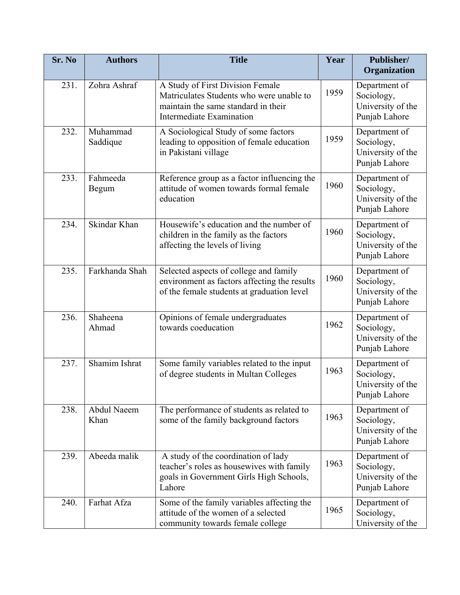| Sr. No | <b>Authors</b>       | <b>Title</b>                                                                                                                                    | Year | Publisher/<br>Organization                                        |
|--------|----------------------|-------------------------------------------------------------------------------------------------------------------------------------------------|------|-------------------------------------------------------------------|
| 231.   | Zohra Ashraf         | A Study of First Division Female<br>Matriculates Students who were unable to<br>maintain the same standard in their<br>Intermediate Examination | 1959 | Department of<br>Sociology,<br>University of the<br>Punjab Lahore |
| 232.   | Muhammad<br>Saddique | A Sociological Study of some factors<br>leading to opposition of female education<br>in Pakistani village                                       | 1959 | Department of<br>Sociology,<br>University of the<br>Punjab Lahore |
| 233.   | Fahmeeda<br>Begum    | Reference group as a factor influencing the<br>attitude of women towards formal female<br>education                                             | 1960 | Department of<br>Sociology,<br>University of the<br>Punjab Lahore |
| 234.   | Skindar Khan         | Housewife's education and the number of<br>children in the family as the factors<br>affecting the levels of living                              | 1960 | Department of<br>Sociology,<br>University of the<br>Punjab Lahore |
| 235.   | Farkhanda Shah       | Selected aspects of college and family<br>environment as factors affecting the results<br>of the female students at graduation level            | 1960 | Department of<br>Sociology,<br>University of the<br>Punjab Lahore |
| 236.   | Shaheena<br>Ahmad    | Opinions of female undergraduates<br>towards coeducation                                                                                        | 1962 | Department of<br>Sociology,<br>University of the<br>Punjab Lahore |
| 237.   | Shamim Ishrat        | Some family variables related to the input<br>of degree students in Multan Colleges                                                             | 1963 | Department of<br>Sociology,<br>University of the<br>Punjab Lahore |
| 238.   | Abdul Naeem<br>Khan  | The performance of students as related to<br>some of the family background factors                                                              | 1963 | Department of<br>Sociology,<br>University of the<br>Punjab Lahore |
| 239.   | Abeeda malik         | A study of the coordination of lady<br>teacher's roles as housewives with family<br>goals in Government Girls High Schools,<br>Lahore           | 1963 | Department of<br>Sociology,<br>University of the<br>Punjab Lahore |
| 240.   | Farhat Afza          | Some of the family variables affecting the<br>attitude of the women of a selected<br>community towards female college                           | 1965 | Department of<br>Sociology,<br>University of the                  |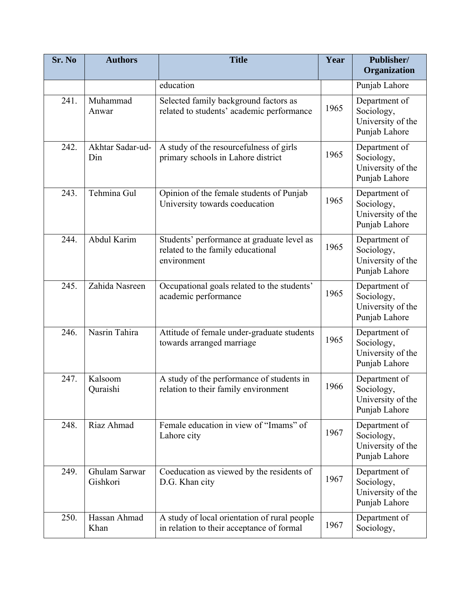| Sr. No | <b>Authors</b>            | <b>Title</b>                                                                                   | Year | Publisher/<br>Organization                                        |
|--------|---------------------------|------------------------------------------------------------------------------------------------|------|-------------------------------------------------------------------|
|        |                           | education                                                                                      |      | Punjab Lahore                                                     |
| 241.   | Muhammad<br>Anwar         | Selected family background factors as<br>related to students' academic performance             | 1965 | Department of<br>Sociology,<br>University of the<br>Punjab Lahore |
| 242.   | Akhtar Sadar-ud-<br>Din   | A study of the resourcefulness of girls<br>primary schools in Lahore district                  | 1965 | Department of<br>Sociology,<br>University of the<br>Punjab Lahore |
| 243.   | Tehmina Gul               | Opinion of the female students of Punjab<br>University towards coeducation                     | 1965 | Department of<br>Sociology,<br>University of the<br>Punjab Lahore |
| 244.   | Abdul Karim               | Students' performance at graduate level as<br>related to the family educational<br>environment | 1965 | Department of<br>Sociology,<br>University of the<br>Punjab Lahore |
| 245.   | Zahida Nasreen            | Occupational goals related to the students'<br>academic performance                            | 1965 | Department of<br>Sociology,<br>University of the<br>Punjab Lahore |
| 246.   | Nasrin Tahira             | Attitude of female under-graduate students<br>towards arranged marriage                        | 1965 | Department of<br>Sociology,<br>University of the<br>Punjab Lahore |
| 247.   | Kalsoom<br>Quraishi       | A study of the performance of students in<br>relation to their family environment              | 1966 | Department of<br>Sociology,<br>University of the<br>Punjab Lahore |
| 248.   | Riaz Ahmad                | Female education in view of "Imams" of<br>Lahore city                                          | 1967 | Department of<br>Sociology,<br>University of the<br>Punjab Lahore |
| 249.   | Ghulam Sarwar<br>Gishkori | Coeducation as viewed by the residents of<br>D.G. Khan city                                    | 1967 | Department of<br>Sociology,<br>University of the<br>Punjab Lahore |
| 250.   | Hassan Ahmad<br>Khan      | A study of local orientation of rural people<br>in relation to their acceptance of formal      | 1967 | Department of<br>Sociology,                                       |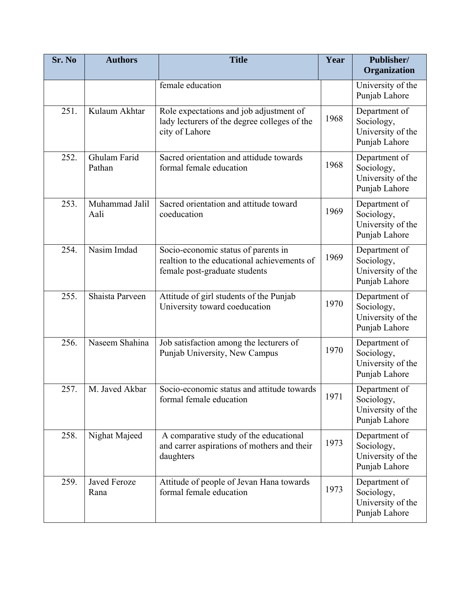| Sr. No | <b>Authors</b>              | <b>Title</b>                                                                                                        | Year | Publisher/<br>Organization                                        |
|--------|-----------------------------|---------------------------------------------------------------------------------------------------------------------|------|-------------------------------------------------------------------|
|        |                             | female education                                                                                                    |      | University of the<br>Punjab Lahore                                |
| 251.   | Kulaum Akhtar               | Role expectations and job adjustment of<br>lady lecturers of the degree colleges of the<br>city of Lahore           | 1968 | Department of<br>Sociology,<br>University of the<br>Punjab Lahore |
| 252.   | Ghulam Farid<br>Pathan      | Sacred orientation and attidude towards<br>formal female education                                                  | 1968 | Department of<br>Sociology,<br>University of the<br>Punjab Lahore |
| 253.   | Muhammad Jalil<br>Aali      | Sacred orientation and attitude toward<br>coeducation                                                               | 1969 | Department of<br>Sociology,<br>University of the<br>Punjab Lahore |
| 254.   | Nasim Imdad                 | Socio-economic status of parents in<br>realtion to the educational achievements of<br>female post-graduate students | 1969 | Department of<br>Sociology,<br>University of the<br>Punjab Lahore |
| 255.   | Shaista Parveen             | Attitude of girl students of the Punjab<br>University toward coeducation                                            | 1970 | Department of<br>Sociology,<br>University of the<br>Punjab Lahore |
| 256.   | Naseem Shahina              | Job satisfaction among the lecturers of<br>Punjab University, New Campus                                            | 1970 | Department of<br>Sociology,<br>University of the<br>Punjab Lahore |
| 257    | M. Javed Akbar              | Socio-economic status and attitude towards<br>formal female education                                               | 1971 | Department of<br>Sociology,<br>University of the<br>Punjab Lahore |
| 258.   | Nighat Majeed               | A comparative study of the educational<br>and carrer aspirations of mothers and their<br>daughters                  | 1973 | Department of<br>Sociology,<br>University of the<br>Punjab Lahore |
| 259.   | <b>Javed Feroze</b><br>Rana | Attitude of people of Jevan Hana towards<br>formal female education                                                 | 1973 | Department of<br>Sociology,<br>University of the<br>Punjab Lahore |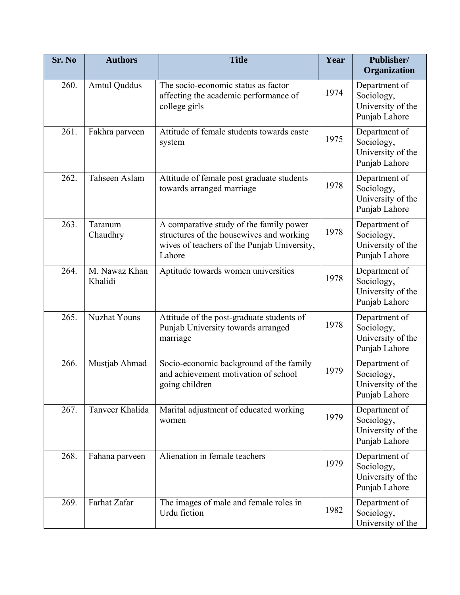| Sr. No | <b>Authors</b>           | <b>Title</b>                                                                                                                                 | Year | Publisher/<br>Organization                                        |
|--------|--------------------------|----------------------------------------------------------------------------------------------------------------------------------------------|------|-------------------------------------------------------------------|
| 260.   | <b>Amtul Quddus</b>      | The socio-economic status as factor<br>affecting the academic performance of<br>college girls                                                | 1974 | Department of<br>Sociology,<br>University of the<br>Punjab Lahore |
| 261.   | Fakhra parveen           | Attitude of female students towards caste<br>system                                                                                          | 1975 | Department of<br>Sociology,<br>University of the<br>Punjab Lahore |
| 262.   | Tahseen Aslam            | Attitude of female post graduate students<br>towards arranged marriage                                                                       | 1978 | Department of<br>Sociology,<br>University of the<br>Punjab Lahore |
| 263.   | Taranum<br>Chaudhry      | A comparative study of the family power<br>structures of the housewives and working<br>wives of teachers of the Punjab University,<br>Lahore | 1978 | Department of<br>Sociology,<br>University of the<br>Punjab Lahore |
| 264.   | M. Nawaz Khan<br>Khalidi | Aptitude towards women universities                                                                                                          | 1978 | Department of<br>Sociology,<br>University of the<br>Punjab Lahore |
| 265.   | <b>Nuzhat Youns</b>      | Attitude of the post-graduate students of<br>Punjab University towards arranged<br>marriage                                                  | 1978 | Department of<br>Sociology,<br>University of the<br>Punjab Lahore |
| 266.   | Mustjab Ahmad            | Socio-economic background of the family<br>and achievement motivation of school<br>going children                                            | 1979 | Department of<br>Sociology,<br>University of the<br>Punjab Lahore |
| 267.   | Tanveer Khalida          | Marital adjustment of educated working<br>women                                                                                              | 1979 | Department of<br>Sociology,<br>University of the<br>Punjab Lahore |
| 268.   | Fahana parveen           | Alienation in female teachers                                                                                                                | 1979 | Department of<br>Sociology,<br>University of the<br>Punjab Lahore |
| 269.   | Farhat Zafar             | The images of male and female roles in<br>Urdu fiction                                                                                       | 1982 | Department of<br>Sociology,<br>University of the                  |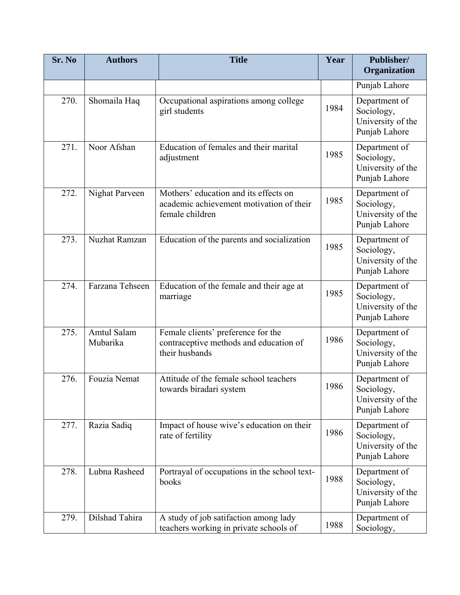| Sr. No | <b>Authors</b>                 | <b>Title</b>                                                                                         | Year | Publisher/<br>Organization                                        |
|--------|--------------------------------|------------------------------------------------------------------------------------------------------|------|-------------------------------------------------------------------|
|        |                                |                                                                                                      |      | Punjab Lahore                                                     |
| 270.   | Shomaila Haq                   | Occupational aspirations among college<br>girl students                                              | 1984 | Department of<br>Sociology,<br>University of the<br>Punjab Lahore |
| 271.   | Noor Afshan                    | Education of females and their marital<br>adjustment                                                 | 1985 | Department of<br>Sociology,<br>University of the<br>Punjab Lahore |
| 272.   | Nighat Parveen                 | Mothers' education and its effects on<br>academic achievement motivation of their<br>female children | 1985 | Department of<br>Sociology,<br>University of the<br>Punjab Lahore |
| 273.   | Nuzhat Ramzan                  | Education of the parents and socialization                                                           | 1985 | Department of<br>Sociology,<br>University of the<br>Punjab Lahore |
| 274.   | Farzana Tehseen                | Education of the female and their age at<br>marriage                                                 | 1985 | Department of<br>Sociology,<br>University of the<br>Punjab Lahore |
| 275.   | <b>Amtul Salam</b><br>Mubarika | Female clients' preference for the<br>contraceptive methods and education of<br>their husbands       | 1986 | Department of<br>Sociology,<br>University of the<br>Punjab Lahore |
| 276.   | Fouzia Nemat                   | Attitude of the female school teachers<br>towards biradari system                                    | 1986 | Department of<br>Sociology,<br>University of the<br>Punjab Lahore |
| 277.   | Razia Sadiq                    | Impact of house wive's education on their<br>rate of fertility                                       | 1986 | Department of<br>Sociology,<br>University of the<br>Punjab Lahore |
| 278.   | Lubna Rasheed                  | Portrayal of occupations in the school text-<br>books                                                | 1988 | Department of<br>Sociology,<br>University of the<br>Punjab Lahore |
| 279.   | Dilshad Tahira                 | A study of job satifaction among lady<br>teachers working in private schools of                      | 1988 | Department of<br>Sociology,                                       |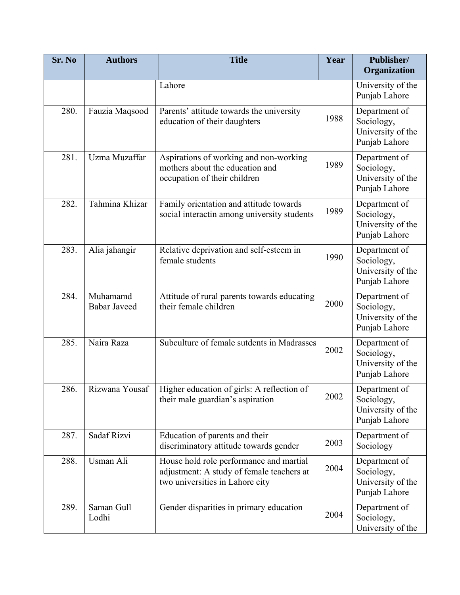| Sr. No | <b>Authors</b>                  | <b>Title</b>                                                                                                            | Year | Publisher/<br>Organization                                        |
|--------|---------------------------------|-------------------------------------------------------------------------------------------------------------------------|------|-------------------------------------------------------------------|
|        |                                 | Lahore                                                                                                                  |      | University of the<br>Punjab Lahore                                |
| 280.   | Fauzia Maqsood                  | Parents' attitude towards the university<br>education of their daughters                                                | 1988 | Department of<br>Sociology,<br>University of the<br>Punjab Lahore |
| 281.   | Uzma Muzaffar                   | Aspirations of working and non-working<br>mothers about the education and<br>occupation of their children               | 1989 | Department of<br>Sociology,<br>University of the<br>Punjab Lahore |
| 282.   | Tahmina Khizar                  | Family orientation and attitude towards<br>social interactin among university students                                  | 1989 | Department of<br>Sociology,<br>University of the<br>Punjab Lahore |
| 283.   | Alia jahangir                   | Relative deprivation and self-esteem in<br>female students                                                              | 1990 | Department of<br>Sociology,<br>University of the<br>Punjab Lahore |
| 284.   | Muhamamd<br><b>Babar Javeed</b> | Attitude of rural parents towards educating<br>their female children                                                    | 2000 | Department of<br>Sociology,<br>University of the<br>Punjab Lahore |
| 285.   | Naira Raza                      | Subculture of female sutdents in Madrasses                                                                              | 2002 | Department of<br>Sociology,<br>University of the<br>Punjab Lahore |
| 286.   | Rizwana Yousaf                  | Higher education of girls: A reflection of<br>their male guardian's aspiration                                          | 2002 | Department of<br>Sociology,<br>University of the<br>Punjab Lahore |
| 287.   | Sadaf Rizvi                     | Education of parents and their<br>discriminatory attitude towards gender                                                | 2003 | Department of<br>Sociology                                        |
| 288.   | Usman Ali                       | House hold role performance and martial<br>adjustment: A study of female teachers at<br>two universities in Lahore city | 2004 | Department of<br>Sociology,<br>University of the<br>Punjab Lahore |
| 289.   | Saman Gull<br>Lodhi             | Gender disparities in primary education                                                                                 | 2004 | Department of<br>Sociology,<br>University of the                  |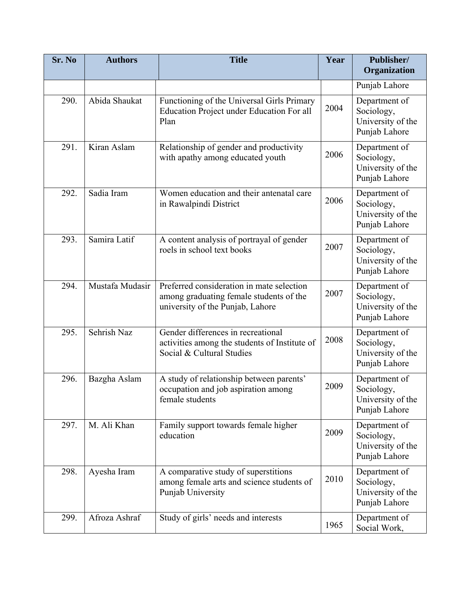| Sr. No | <b>Authors</b>  | <b>Title</b>                                                                                                             | Year | Publisher/<br>Organization                                        |
|--------|-----------------|--------------------------------------------------------------------------------------------------------------------------|------|-------------------------------------------------------------------|
|        |                 |                                                                                                                          |      | Punjab Lahore                                                     |
| 290.   | Abida Shaukat   | Functioning of the Universal Girls Primary<br>Education Project under Education For all<br>Plan                          | 2004 | Department of<br>Sociology,<br>University of the<br>Punjab Lahore |
| 291.   | Kiran Aslam     | Relationship of gender and productivity<br>with apathy among educated youth                                              | 2006 | Department of<br>Sociology,<br>University of the<br>Punjab Lahore |
| 292.   | Sadia Iram      | Women education and their antenatal care<br>in Rawalpindi District                                                       | 2006 | Department of<br>Sociology,<br>University of the<br>Punjab Lahore |
| 293.   | Samira Latif    | A content analysis of portrayal of gender<br>roels in school text books                                                  | 2007 | Department of<br>Sociology,<br>University of the<br>Punjab Lahore |
| 294.   | Mustafa Mudasir | Preferred consideration in mate selection<br>among graduating female students of the<br>university of the Punjab, Lahore | 2007 | Department of<br>Sociology,<br>University of the<br>Punjab Lahore |
| 295.   | Sehrish Naz     | Gender differences in recreational<br>activities among the students of Institute of<br>Social & Cultural Studies         | 2008 | Department of<br>Sociology,<br>University of the<br>Punjab Lahore |
| 296.   | Bazgha Aslam    | A study of relationship between parents'<br>occupation and job aspiration among<br>female students                       | 2009 | Department of<br>Sociology,<br>University of the<br>Punjab Lahore |
| 297.   | M. Ali Khan     | Family support towards female higher<br>education                                                                        | 2009 | Department of<br>Sociology,<br>University of the<br>Punjab Lahore |
| 298.   | Ayesha Iram     | A comparative study of superstitions<br>among female arts and science students of<br>Punjab University                   | 2010 | Department of<br>Sociology,<br>University of the<br>Punjab Lahore |
| 299.   | Afroza Ashraf   | Study of girls' needs and interests                                                                                      | 1965 | Department of<br>Social Work,                                     |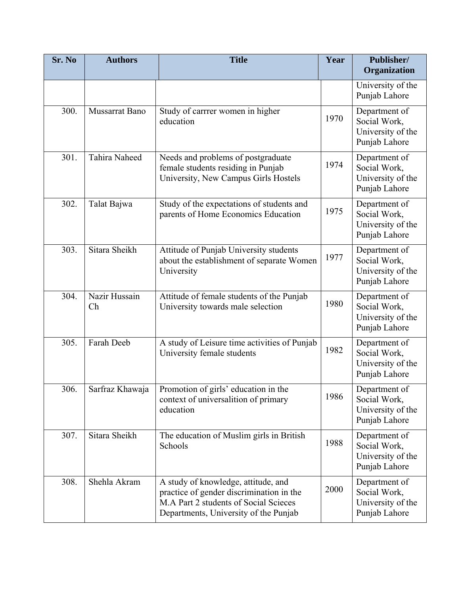| Sr. No | <b>Authors</b>      | <b>Title</b>                                                                                                                                                      | Year | Publisher/<br>Organization                                          |
|--------|---------------------|-------------------------------------------------------------------------------------------------------------------------------------------------------------------|------|---------------------------------------------------------------------|
|        |                     |                                                                                                                                                                   |      | University of the<br>Punjab Lahore                                  |
| 300.   | Mussarrat Bano      | Study of carrrer women in higher<br>education                                                                                                                     | 1970 | Department of<br>Social Work,<br>University of the<br>Punjab Lahore |
| 301.   | Tahira Naheed       | Needs and problems of postgraduate<br>female students residing in Punjab<br>University, New Campus Girls Hostels                                                  | 1974 | Department of<br>Social Work,<br>University of the<br>Punjab Lahore |
| 302.   | Talat Bajwa         | Study of the expectations of students and<br>parents of Home Economics Education                                                                                  | 1975 | Department of<br>Social Work,<br>University of the<br>Punjab Lahore |
| 303.   | Sitara Sheikh       | Attitude of Punjab University students<br>about the establishment of separate Women<br>University                                                                 | 1977 | Department of<br>Social Work,<br>University of the<br>Punjab Lahore |
| 304.   | Nazir Hussain<br>Ch | Attitude of female students of the Punjab<br>University towards male selection                                                                                    | 1980 | Department of<br>Social Work,<br>University of the<br>Punjab Lahore |
| 305.   | Farah Deeb          | A study of Leisure time activities of Punjab<br>University female students                                                                                        | 1982 | Department of<br>Social Work,<br>University of the<br>Punjab Lahore |
| 306.   | Sarfraz Khawaja     | Promotion of girls' education in the<br>context of universalition of primary<br>education                                                                         | 1986 | Department of<br>Social Work,<br>University of the<br>Punjab Lahore |
| 307.   | Sitara Sheikh       | The education of Muslim girls in British<br>Schools                                                                                                               | 1988 | Department of<br>Social Work,<br>University of the<br>Punjab Lahore |
| 308.   | Shehla Akram        | A study of knowledge, attitude, and<br>practice of gender discrimination in the<br>M.A Part 2 students of Social Scieces<br>Departments, University of the Punjab | 2000 | Department of<br>Social Work,<br>University of the<br>Punjab Lahore |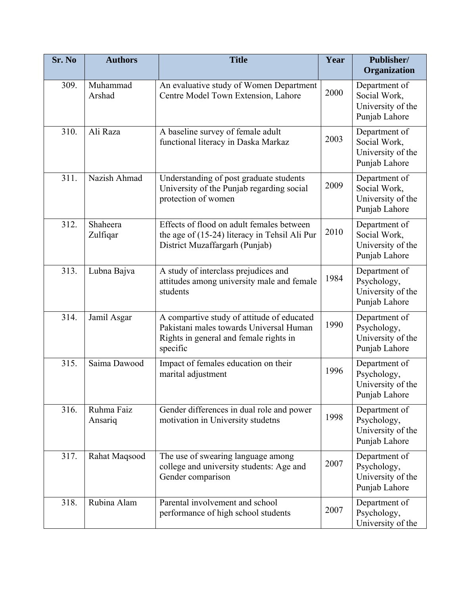| Sr. No | <b>Authors</b>        | <b>Title</b>                                                                                                                                | Year | Publisher/<br>Organization                                          |
|--------|-----------------------|---------------------------------------------------------------------------------------------------------------------------------------------|------|---------------------------------------------------------------------|
| 309.   | Muhammad<br>Arshad    | An evaluative study of Women Department<br>Centre Model Town Extension, Lahore                                                              | 2000 | Department of<br>Social Work,<br>University of the<br>Punjab Lahore |
| 310.   | Ali Raza              | A baseline survey of female adult<br>functional literacy in Daska Markaz                                                                    | 2003 | Department of<br>Social Work,<br>University of the<br>Punjab Lahore |
| 311.   | Nazish Ahmad          | Understanding of post graduate students<br>University of the Punjab regarding social<br>protection of women                                 | 2009 | Department of<br>Social Work,<br>University of the<br>Punjab Lahore |
| 312.   | Shaheera<br>Zulfiqar  | Effects of flood on adult females between<br>the age of (15-24) literacy in Tehsil Ali Pur<br>District Muzaffargarh (Punjab)                | 2010 | Department of<br>Social Work,<br>University of the<br>Punjab Lahore |
| 313.   | Lubna Bajva           | A study of interclass prejudices and<br>attitudes among university male and female<br>students                                              | 1984 | Department of<br>Psychology,<br>University of the<br>Punjab Lahore  |
| 314.   | Jamil Asgar           | A compartive study of attitude of educated<br>Pakistani males towards Universal Human<br>Rights in general and female rights in<br>specific | 1990 | Department of<br>Psychology,<br>University of the<br>Punjab Lahore  |
| 315.   | Saima Dawood          | Impact of females education on their<br>marital adjustment                                                                                  | 1996 | Department of<br>Psychology,<br>University of the<br>Punjab Lahore  |
| 316.   | Ruhma Faiz<br>Ansariq | Gender differences in dual role and power<br>motivation in University studetns                                                              | 1998 | Department of<br>Psychology,<br>University of the<br>Punjab Lahore  |
| 317.   | Rahat Maqsood         | The use of swearing language among<br>college and university students: Age and<br>Gender comparison                                         | 2007 | Department of<br>Psychology,<br>University of the<br>Punjab Lahore  |
| 318.   | Rubina Alam           | Parental involvement and school<br>performance of high school students                                                                      | 2007 | Department of<br>Psychology,<br>University of the                   |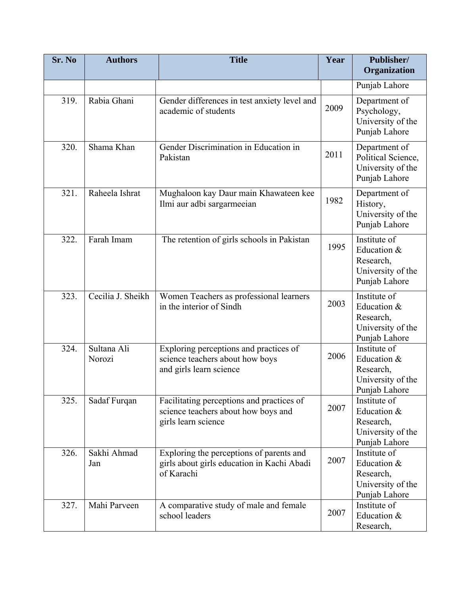| Sr. No | <b>Authors</b>        | <b>Title</b>                                                                                            | Year | Publisher/<br>Organization                                                     |
|--------|-----------------------|---------------------------------------------------------------------------------------------------------|------|--------------------------------------------------------------------------------|
|        |                       |                                                                                                         |      | Punjab Lahore                                                                  |
| 319.   | Rabia Ghani           | Gender differences in test anxiety level and<br>academic of students                                    | 2009 | Department of<br>Psychology,<br>University of the<br>Punjab Lahore             |
| 320.   | Shama Khan            | Gender Discrimination in Education in<br>Pakistan                                                       | 2011 | Department of<br>Political Science,<br>University of the<br>Punjab Lahore      |
| 321.   | Raheela Ishrat        | Mughaloon kay Daur main Khawateen kee<br>Ilmi aur adbi sargarmeeian                                     | 1982 | Department of<br>History,<br>University of the<br>Punjab Lahore                |
| 322.   | Farah Imam            | The retention of girls schools in Pakistan                                                              | 1995 | Institute of<br>Education &<br>Research,<br>University of the<br>Punjab Lahore |
| 323.   | Cecilia J. Sheikh     | Women Teachers as professional learners<br>in the interior of Sindh                                     | 2003 | Institute of<br>Education &<br>Research,<br>University of the<br>Punjab Lahore |
| 324.   | Sultana Ali<br>Norozi | Exploring perceptions and practices of<br>science teachers about how boys<br>and girls learn science    | 2006 | Institute of<br>Education &<br>Research,<br>University of the<br>Punjab Lahore |
| 325.   | Sadaf Furqan          | Facilitating perceptions and practices of<br>science teachers about how boys and<br>girls learn science | 2007 | Institute of<br>Education &<br>Research,<br>University of the<br>Punjab Lahore |
| 326.   | Sakhi Ahmad<br>Jan    | Exploring the perceptions of parents and<br>girls about girls education in Kachi Abadi<br>of Karachi    | 2007 | Institute of<br>Education &<br>Research,<br>University of the<br>Punjab Lahore |
| 327.   | Mahi Parveen          | A comparative study of male and female<br>school leaders                                                | 2007 | Institute of<br>Education &<br>Research,                                       |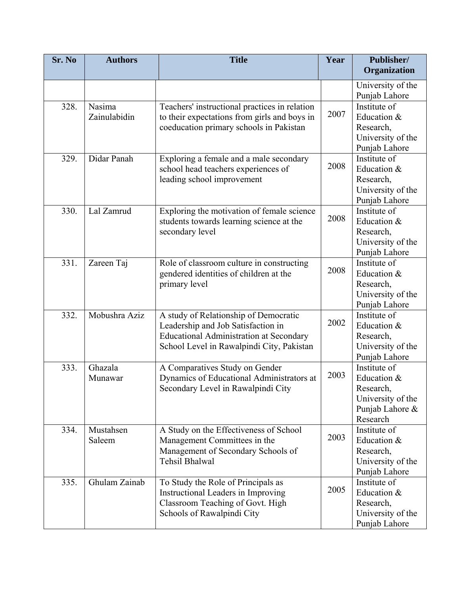| Sr. No | <b>Authors</b>         | <b>Title</b>                                                                                                                                                               | Year | Publisher/<br>Organization                                                                   |
|--------|------------------------|----------------------------------------------------------------------------------------------------------------------------------------------------------------------------|------|----------------------------------------------------------------------------------------------|
|        |                        |                                                                                                                                                                            |      | University of the<br>Punjab Lahore                                                           |
| 328.   | Nasima<br>Zainulabidin | Teachers' instructional practices in relation<br>to their expectations from girls and boys in<br>coeducation primary schools in Pakistan                                   | 2007 | Institute of<br>Education &<br>Research,<br>University of the<br>Punjab Lahore               |
| 329.   | Didar Panah            | Exploring a female and a male secondary<br>school head teachers experiences of<br>leading school improvement                                                               | 2008 | Institute of<br>Education &<br>Research,<br>University of the<br>Punjab Lahore               |
| 330.   | Lal Zamrud             | Exploring the motivation of female science<br>students towards learning science at the<br>secondary level                                                                  | 2008 | Institute of<br>Education &<br>Research,<br>University of the<br>Punjab Lahore               |
| 331.   | Zareen Taj             | Role of classroom culture in constructing<br>gendered identities of children at the<br>primary level                                                                       | 2008 | Institute of<br>Education &<br>Research,<br>University of the<br>Punjab Lahore               |
| 332.   | Mobushra Aziz          | A study of Relationship of Democratic<br>Leadership and Job Satisfaction in<br><b>Educational Administration at Secondary</b><br>School Level in Rawalpindi City, Pakistan | 2002 | Institute of<br>Education &<br>Research,<br>University of the<br>Punjab Lahore               |
| 333.   | Ghazala<br>Munawar     | A Comparatives Study on Gender<br>Dynamics of Educational Administrators at<br>Secondary Level in Rawalpindi City                                                          | 2003 | Institute of<br>Education &<br>Research.<br>University of the<br>Punjab Lahore &<br>Research |
| 334.   | Mustahsen<br>Saleem    | A Study on the Effectiveness of School<br>Management Committees in the<br>Management of Secondary Schools of<br>Tehsil Bhalwal                                             | 2003 | Institute of<br>Education &<br>Research,<br>University of the<br>Punjab Lahore               |
| 335.   | Ghulam Zainab          | To Study the Role of Principals as<br>Instructional Leaders in Improving<br>Classroom Teaching of Govt. High<br>Schools of Rawalpindi City                                 | 2005 | Institute of<br>Education &<br>Research,<br>University of the<br>Punjab Lahore               |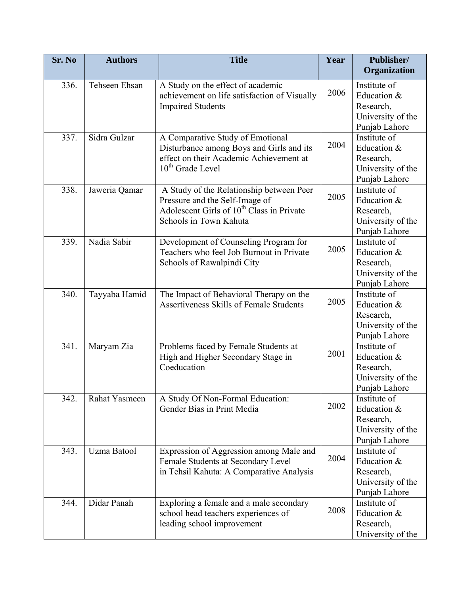| Sr. No | <b>Authors</b> | <b>Title</b>                                          | Year | Publisher/                     |
|--------|----------------|-------------------------------------------------------|------|--------------------------------|
|        |                |                                                       |      | Organization                   |
| 336.   | Tehseen Ehsan  | A Study on the effect of academic                     | 2006 | Institute of                   |
|        |                | achievement on life satisfaction of Visually          |      | Education &<br>Research,       |
|        |                | <b>Impaired Students</b>                              |      | University of the              |
|        |                |                                                       |      | Punjab Lahore                  |
| 337.   | Sidra Gulzar   | A Comparative Study of Emotional                      |      | Institute of                   |
|        |                | Disturbance among Boys and Girls and its              | 2004 | Education &                    |
|        |                | effect on their Academic Achievement at               |      | Research,                      |
|        |                | 10 <sup>th</sup> Grade Level                          |      | University of the              |
|        |                |                                                       |      | Punjab Lahore                  |
| 338.   | Jaweria Qamar  | A Study of the Relationship between Peer              |      | Institute of                   |
|        |                | Pressure and the Self-Image of                        | 2005 | Education &                    |
|        |                | Adolescent Girls of 10 <sup>th</sup> Class in Private |      | Research,                      |
|        |                | Schools in Town Kahuta                                |      | University of the              |
|        |                |                                                       |      | Punjab Lahore                  |
| 339.   | Nadia Sabir    | Development of Counseling Program for                 | 2005 | Institute of                   |
|        |                | Teachers who feel Job Burnout in Private              |      | Education &<br>Research,       |
|        |                | Schools of Rawalpindi City                            |      | University of the              |
|        |                |                                                       |      | Punjab Lahore                  |
| 340.   | Tayyaba Hamid  | The Impact of Behavioral Therapy on the               |      | Institute of                   |
|        |                | <b>Assertiveness Skills of Female Students</b>        | 2005 | Education &                    |
|        |                |                                                       |      | Research,                      |
|        |                |                                                       |      | University of the              |
|        |                |                                                       |      | Punjab Lahore                  |
| 341.   | Maryam Zia     | Problems faced by Female Students at                  |      | Institute of                   |
|        |                | High and Higher Secondary Stage in                    | 2001 | Education &                    |
|        |                | Coeducation                                           |      | Research,                      |
|        |                |                                                       |      | University of the              |
|        |                |                                                       |      | Punjab Lahore                  |
| 342.   | Rahat Yasmeen  | A Study Of Non-Formal Education:                      | 2002 | Institute of                   |
|        |                | Gender Bias in Print Media                            |      | Education &                    |
|        |                |                                                       |      | Research,<br>University of the |
|        |                |                                                       |      | Punjab Lahore                  |
| 343.   | Uzma Batool    | Expression of Aggression among Male and               |      | Institute of                   |
|        |                | Female Students at Secondary Level                    | 2004 | Education &                    |
|        |                | in Tehsil Kahuta: A Comparative Analysis              |      | Research,                      |
|        |                |                                                       |      | University of the              |
|        |                |                                                       |      | Punjab Lahore                  |
| 344.   | Didar Panah    | Exploring a female and a male secondary               |      | Institute of                   |
|        |                | school head teachers experiences of                   | 2008 | Education &                    |
|        |                | leading school improvement                            |      | Research,                      |
|        |                |                                                       |      | University of the              |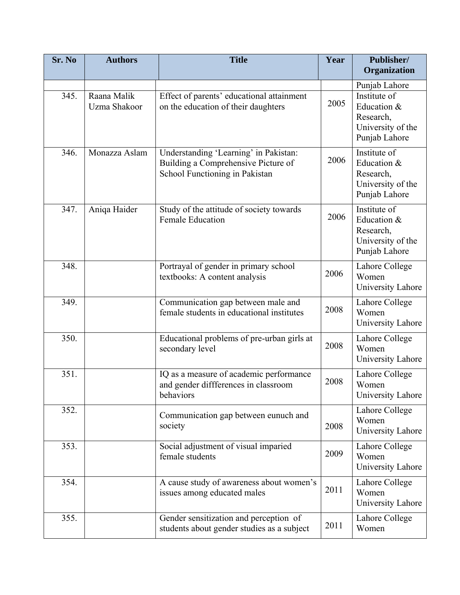| Sr. No | <b>Authors</b>              | <b>Title</b>                                                                                                   | Year | Publisher/<br>Organization                                                     |
|--------|-----------------------------|----------------------------------------------------------------------------------------------------------------|------|--------------------------------------------------------------------------------|
|        |                             |                                                                                                                |      | Punjab Lahore                                                                  |
| 345.   | Raana Malik<br>Uzma Shakoor | Effect of parents' educational attainment<br>on the education of their daughters                               | 2005 | Institute of<br>Education &<br>Research,<br>University of the<br>Punjab Lahore |
| 346.   | Monazza Aslam               | Understanding 'Learning' in Pakistan:<br>Building a Comprehensive Picture of<br>School Functioning in Pakistan | 2006 | Institute of<br>Education &<br>Research,<br>University of the<br>Punjab Lahore |
| 347.   | Aniqa Haider                | Study of the attitude of society towards<br><b>Female Education</b>                                            | 2006 | Institute of<br>Education &<br>Research,<br>University of the<br>Punjab Lahore |
| 348.   |                             | Portrayal of gender in primary school<br>textbooks: A content analysis                                         | 2006 | Lahore College<br>Women<br>University Lahore                                   |
| 349.   |                             | Communication gap between male and<br>female students in educational institutes                                | 2008 | Lahore College<br>Women<br>University Lahore                                   |
| 350.   |                             | Educational problems of pre-urban girls at<br>secondary level                                                  | 2008 | Lahore College<br>Women<br>University Lahore                                   |
| 351.   |                             | IQ as a measure of academic performance<br>and gender diffferences in classroom<br>behaviors                   | 2008 | Lahore College<br>Women<br>University Lahore                                   |
| 352.   |                             | Communication gap between eunuch and<br>society                                                                | 2008 | Lahore College<br>Women<br>University Lahore                                   |
| 353.   |                             | Social adjustment of visual imparied<br>female students                                                        | 2009 | Lahore College<br>Women<br>University Lahore                                   |
| 354.   |                             | A cause study of awareness about women's<br>issues among educated males                                        | 2011 | Lahore College<br>Women<br>University Lahore                                   |
| 355.   |                             | Gender sensitization and perception of<br>students about gender studies as a subject                           | 2011 | Lahore College<br>Women                                                        |